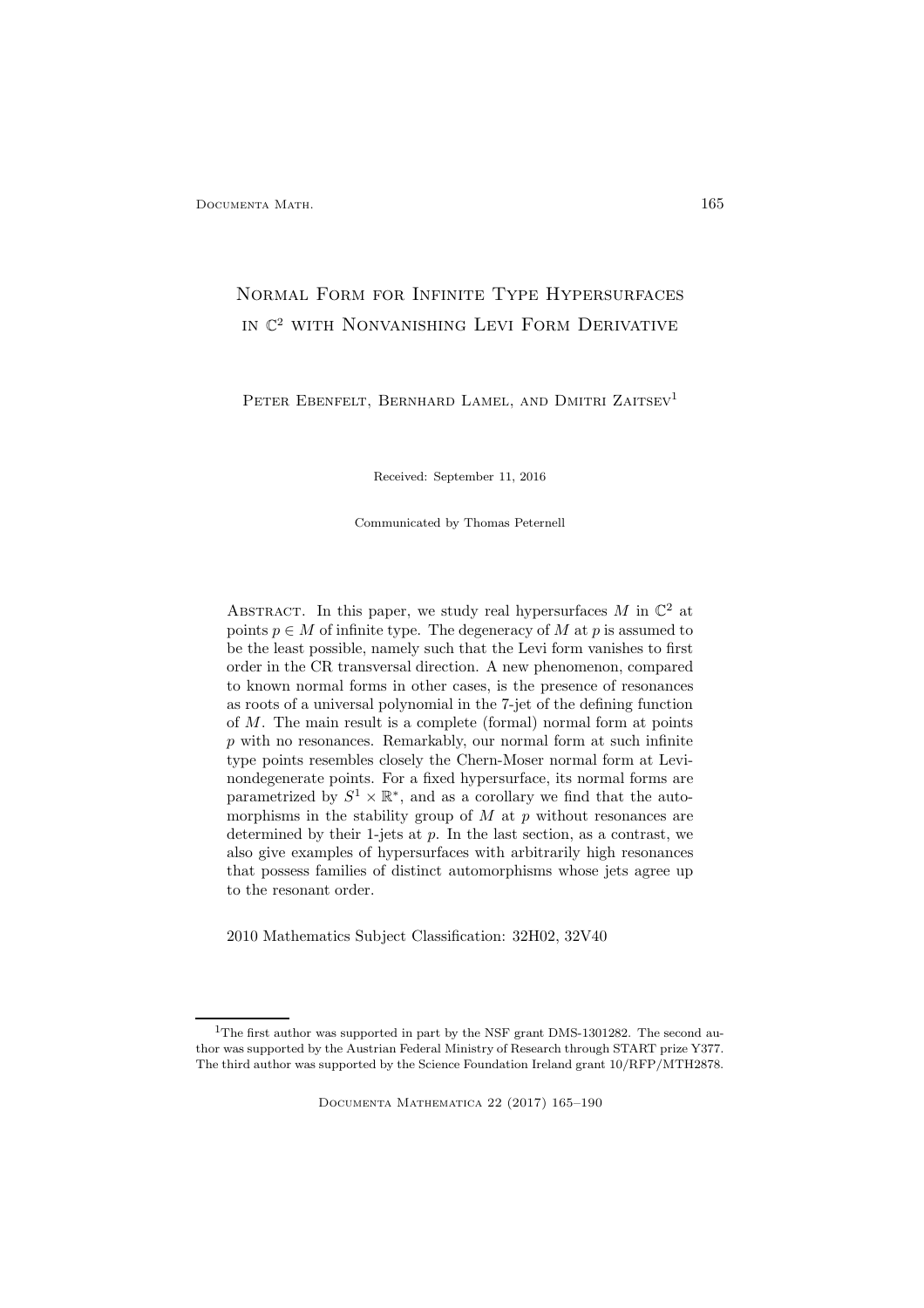# Normal Form for Infinite Type Hypersurfaces in C <sup>2</sup> with Nonvanishing Levi Form Derivative

PETER EBENFELT, BERNHARD LAMEL, AND DMITRI ZAITSEV<sup>1</sup>

Received: September 11, 2016

Communicated by Thomas Peternell

ABSTRACT. In this paper, we study real hypersurfaces  $M$  in  $\mathbb{C}^2$  at points  $p \in M$  of infinite type. The degeneracy of M at p is assumed to be the least possible, namely such that the Levi form vanishes to first order in the CR transversal direction. A new phenomenon, compared to known normal forms in other cases, is the presence of resonances as roots of a universal polynomial in the 7-jet of the defining function of M. The main result is a complete (formal) normal form at points  $p$  with no resonances. Remarkably, our normal form at such infinite type points resembles closely the Chern-Moser normal form at Levinondegenerate points. For a fixed hypersurface, its normal forms are parametrized by  $S^1 \times \mathbb{R}^*$ , and as a corollary we find that the automorphisms in the stability group of  $M$  at  $p$  without resonances are determined by their 1-jets at  $p$ . In the last section, as a contrast, we also give examples of hypersurfaces with arbitrarily high resonances that possess families of distinct automorphisms whose jets agree up to the resonant order.

2010 Mathematics Subject Classification: 32H02, 32V40

<sup>&</sup>lt;sup>1</sup>The first author was supported in part by the NSF grant DMS-1301282. The second author was supported by the Austrian Federal Ministry of Research through START prize Y377. The third author was supported by the Science Foundation Ireland grant 10/RFP/MTH2878.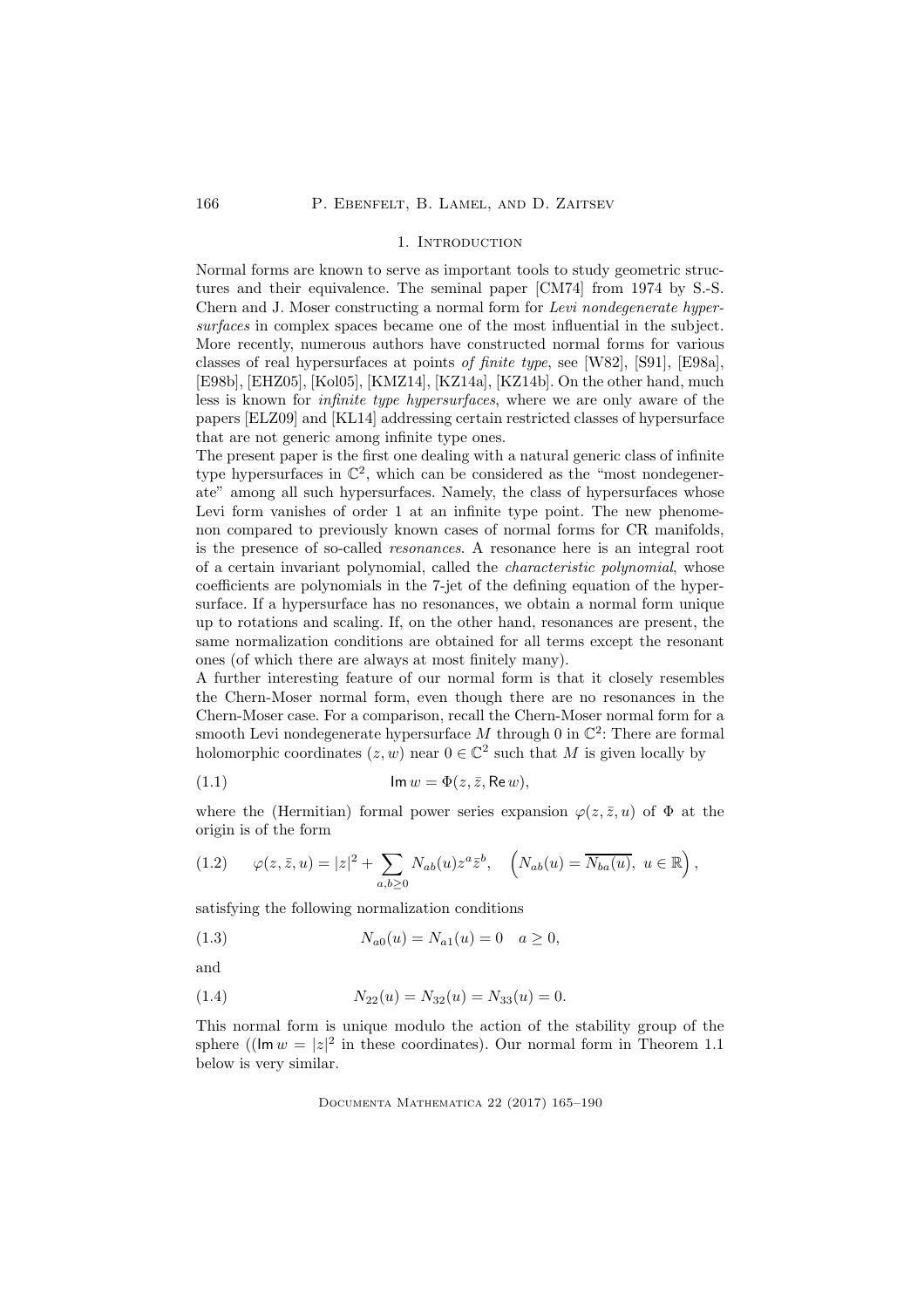### 1. INTRODUCTION

Normal forms are known to serve as important tools to study geometric structures and their equivalence. The seminal paper [CM74] from 1974 by S.-S. Chern and J. Moser constructing a normal form for Levi nondegenerate hypersurfaces in complex spaces became one of the most influential in the subject. More recently, numerous authors have constructed normal forms for various classes of real hypersurfaces at points of finite type, see [W82], [S91], [E98a], [E98b], [EHZ05], [Kol05], [KMZ14], [KZ14a], [KZ14b]. On the other hand, much less is known for infinite type hypersurfaces, where we are only aware of the papers [ELZ09] and [KL14] addressing certain restricted classes of hypersurface that are not generic among infinite type ones.

The present paper is the first one dealing with a natural generic class of infinite type hypersurfaces in  $\mathbb{C}^2$ , which can be considered as the "most nondegenerate" among all such hypersurfaces. Namely, the class of hypersurfaces whose Levi form vanishes of order 1 at an infinite type point. The new phenomenon compared to previously known cases of normal forms for CR manifolds, is the presence of so-called resonances. A resonance here is an integral root of a certain invariant polynomial, called the characteristic polynomial, whose coefficients are polynomials in the 7-jet of the defining equation of the hypersurface. If a hypersurface has no resonances, we obtain a normal form unique up to rotations and scaling. If, on the other hand, resonances are present, the same normalization conditions are obtained for all terms except the resonant ones (of which there are always at most finitely many).

A further interesting feature of our normal form is that it closely resembles the Chern-Moser normal form, even though there are no resonances in the Chern-Moser case. For a comparison, recall the Chern-Moser normal form for a smooth Levi nondegenerate hypersurface  $M$  through 0 in  $\mathbb{C}^2$ : There are formal holomorphic coordinates  $(z, w)$  near  $0 \in \mathbb{C}^2$  such that M is given locally by

(1.1) 
$$
\mathsf{Im}\,w = \Phi(z,\bar{z},\mathsf{Re}\,w),
$$

where the (Hermitian) formal power series expansion  $\varphi(z, \bar{z}, u)$  of  $\Phi$  at the origin is of the form

(1.2) 
$$
\varphi(z,\bar{z},u) = |z|^2 + \sum_{a,b\geq 0} N_{ab}(u) z^a \bar{z}^b, \quad \left(N_{ab}(u) = \overline{N_{ba}(u)}, \ u \in \mathbb{R}\right),
$$

satisfying the following normalization conditions

(1.3) 
$$
N_{a0}(u) = N_{a1}(u) = 0 \quad a \ge 0,
$$

and

(1.4) 
$$
N_{22}(u) = N_{32}(u) = N_{33}(u) = 0.
$$

This normal form is unique modulo the action of the stability group of the sphere (( $\text{Im } w = |z|^2$  in these coordinates). Our normal form in Theorem 1.1 below is very similar.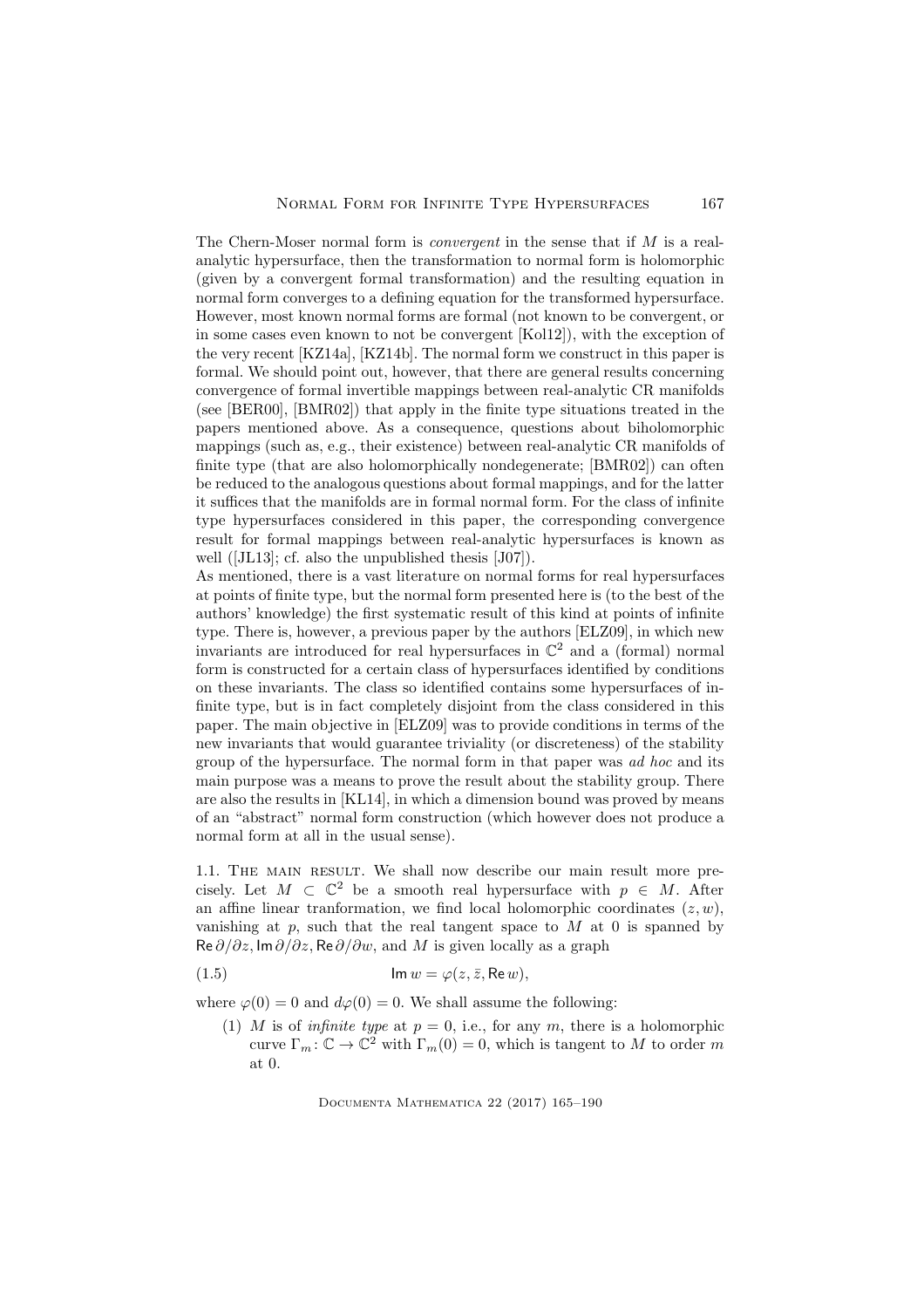The Chern-Moser normal form is convergent in the sense that if M is a realanalytic hypersurface, then the transformation to normal form is holomorphic (given by a convergent formal transformation) and the resulting equation in normal form converges to a defining equation for the transformed hypersurface. However, most known normal forms are formal (not known to be convergent, or in some cases even known to not be convergent [Kol12]), with the exception of the very recent [KZ14a], [KZ14b]. The normal form we construct in this paper is formal. We should point out, however, that there are general results concerning convergence of formal invertible mappings between real-analytic CR manifolds (see [BER00], [BMR02]) that apply in the finite type situations treated in the papers mentioned above. As a consequence, questions about biholomorphic mappings (such as, e.g., their existence) between real-analytic CR manifolds of finite type (that are also holomorphically nondegenerate; [BMR02]) can often be reduced to the analogous questions about formal mappings, and for the latter it suffices that the manifolds are in formal normal form. For the class of infinite type hypersurfaces considered in this paper, the corresponding convergence result for formal mappings between real-analytic hypersurfaces is known as well ([JL13]; cf. also the unpublished thesis [J07]).

As mentioned, there is a vast literature on normal forms for real hypersurfaces at points of finite type, but the normal form presented here is (to the best of the authors' knowledge) the first systematic result of this kind at points of infinite type. There is, however, a previous paper by the authors [ELZ09], in which new invariants are introduced for real hypersurfaces in  $\mathbb{C}^2$  and a (formal) normal form is constructed for a certain class of hypersurfaces identified by conditions on these invariants. The class so identified contains some hypersurfaces of infinite type, but is in fact completely disjoint from the class considered in this paper. The main objective in [ELZ09] was to provide conditions in terms of the new invariants that would guarantee triviality (or discreteness) of the stability group of the hypersurface. The normal form in that paper was ad hoc and its main purpose was a means to prove the result about the stability group. There are also the results in [KL14], in which a dimension bound was proved by means of an "abstract" normal form construction (which however does not produce a normal form at all in the usual sense).

1.1. The main result. We shall now describe our main result more precisely. Let  $M \subset \mathbb{C}^2$  be a smooth real hypersurface with  $p \in M$ . After an affine linear tranformation, we find local holomorphic coordinates  $(z, w)$ , vanishing at  $p$ , such that the real tangent space to  $M$  at 0 is spanned by  $\text{Re}\,\partial/\partial z$ , Im $\partial/\partial z$ , Re $\partial/\partial w$ , and M is given locally as a graph

(1.5) 
$$
\operatorname{Im} w = \varphi(z, \bar{z}, \operatorname{Re} w),
$$

where  $\varphi(0) = 0$  and  $d\varphi(0) = 0$ . We shall assume the following:

(1) M is of *infinite type* at  $p = 0$ , i.e., for any m, there is a holomorphic curve  $\Gamma_m: \mathbb{C} \to \mathbb{C}^2$  with  $\Gamma_m(0) = 0$ , which is tangent to M to order m at 0.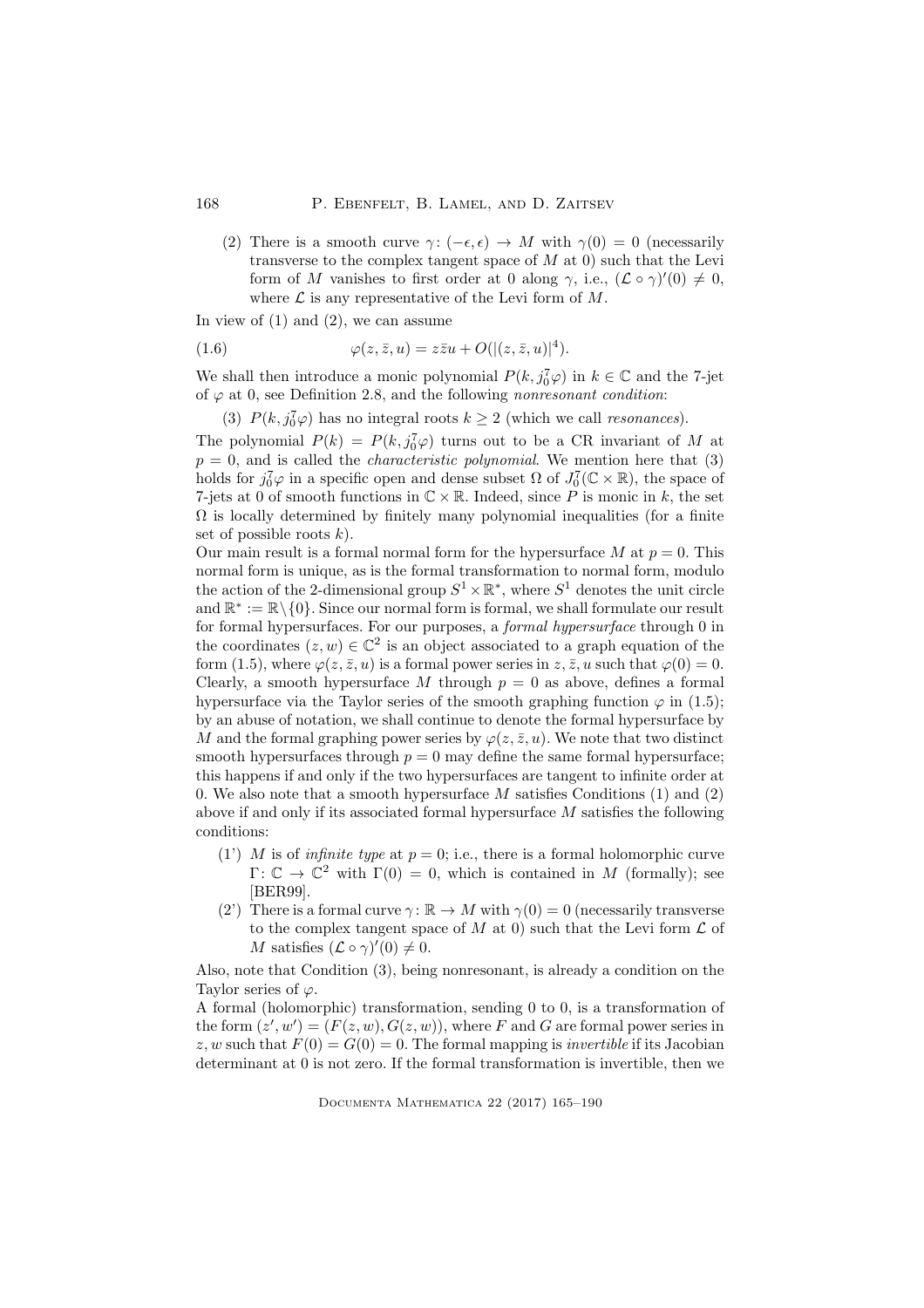(2) There is a smooth curve  $\gamma: (-\epsilon, \epsilon) \to M$  with  $\gamma(0) = 0$  (necessarily transverse to the complex tangent space of  $M$  at 0) such that the Levi form of M vanishes to first order at 0 along  $\gamma$ , i.e.,  $(\mathcal{L} \circ \gamma)'(0) \neq 0$ , where  $\mathcal L$  is any representative of the Levi form of  $M$ .

In view of  $(1)$  and  $(2)$ , we can assume

(1.6) 
$$
\varphi(z,\bar{z},u)=z\bar{z}u+O(|(z,\bar{z},u)|^4).
$$

We shall then introduce a monic polynomial  $P(k, j_0^7 \varphi)$  in  $k \in \mathbb{C}$  and the 7-jet of  $\varphi$  at 0, see Definition 2.8, and the following nonresonant condition:

(3)  $P(k, j_0^7 \varphi)$  has no integral roots  $k \geq 2$  (which we call *resonances*).

The polynomial  $P(k) = P(k, j_0^7 \varphi)$  turns out to be a CR invariant of M at  $p = 0$ , and is called the *characteristic polynomial*. We mention here that (3) holds for  $j_0^7 \varphi$  in a specific open and dense subset  $\Omega$  of  $J_0^7(\mathbb{C} \times \mathbb{R})$ , the space of 7-jets at 0 of smooth functions in  $\mathbb{C} \times \mathbb{R}$ . Indeed, since P is monic in k, the set  $\Omega$  is locally determined by finitely many polynomial inequalities (for a finite set of possible roots  $k$ ).

Our main result is a formal normal form for the hypersurface  $M$  at  $p = 0$ . This normal form is unique, as is the formal transformation to normal form, modulo the action of the 2-dimensional group  $S^1 \times \mathbb{R}^*$ , where  $S^1$  denotes the unit circle and  $\mathbb{R}^* := \mathbb{R} \setminus \{0\}$ . Since our normal form is formal, we shall formulate our result for formal hypersurfaces. For our purposes, a formal hypersurface through 0 in the coordinates  $(z, w) \in \mathbb{C}^2$  is an object associated to a graph equation of the form (1.5), where  $\varphi(z, \bar{z}, u)$  is a formal power series in  $z, \bar{z}, u$  such that  $\varphi(0) = 0$ . Clearly, a smooth hypersurface M through  $p = 0$  as above, defines a formal hypersurface via the Taylor series of the smooth graphing function  $\varphi$  in (1.5); by an abuse of notation, we shall continue to denote the formal hypersurface by M and the formal graphing power series by  $\varphi(z, \bar{z}, u)$ . We note that two distinct smooth hypersurfaces through  $p = 0$  may define the same formal hypersurface; this happens if and only if the two hypersurfaces are tangent to infinite order at 0. We also note that a smooth hypersurface  $M$  satisfies Conditions (1) and (2) above if and only if its associated formal hypersurface M satisfies the following conditions:

- (1') M is of *infinite type* at  $p = 0$ ; i.e., there is a formal holomorphic curve  $\Gamma: \mathbb{C} \to \mathbb{C}^2$  with  $\Gamma(0) = 0$ , which is contained in M (formally); see [BER99].
- (2) There is a formal curve  $\gamma: \mathbb{R} \to M$  with  $\gamma(0) = 0$  (necessarily transverse to the complex tangent space of M at 0) such that the Levi form  $\mathcal L$  of M satisfies  $(\mathcal{L} \circ \gamma)'(0) \neq 0$ .

Also, note that Condition (3), being nonresonant, is already a condition on the Taylor series of  $\varphi$ .

A formal (holomorphic) transformation, sending 0 to 0, is a transformation of the form  $(z', w') = (F(z, w), G(z, w))$ , where F and G are formal power series in z, w such that  $F(0) = G(0) = 0$ . The formal mapping is *invertible* if its Jacobian determinant at 0 is not zero. If the formal transformation is invertible, then we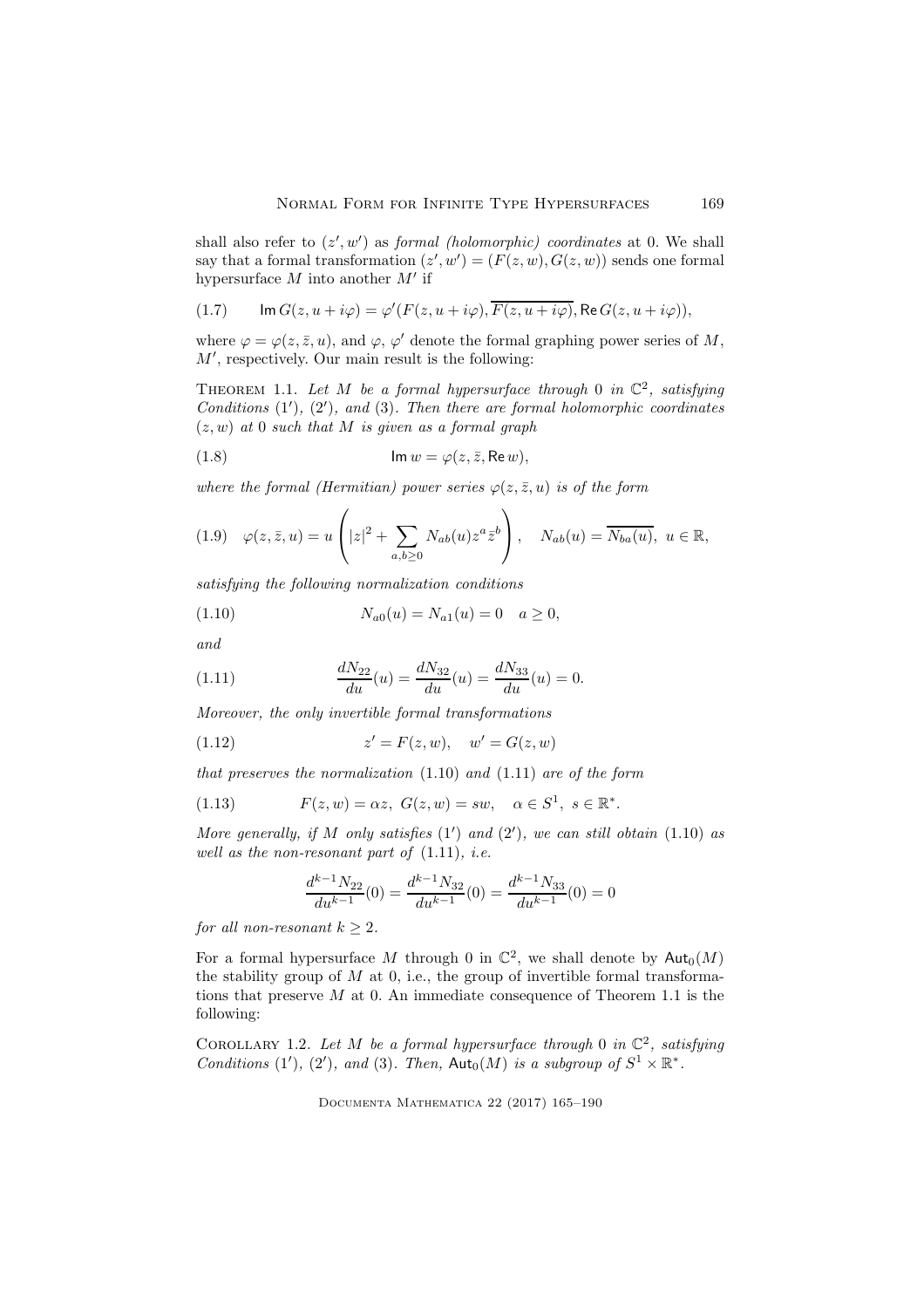shall also refer to  $(z', w')$  as *formal (holomorphic) coordinates* at 0. We shall say that a formal transformation  $(z', w') = (F(z, w), G(z, w))$  sends one formal hypersurface  $M$  into another  $M'$  if

(1.7) 
$$
\operatorname{Im} G(z, u + i\varphi) = \varphi'(F(z, u + i\varphi), \overline{F(z, u + i\varphi)}, \operatorname{Re} G(z, u + i\varphi)),
$$

where  $\varphi = \varphi(z, \bar{z}, u)$ , and  $\varphi, \varphi'$  denote the formal graphing power series of M, M′ , respectively. Our main result is the following:

THEOREM 1.1. Let M be a formal hypersurface through 0 in  $\mathbb{C}^2$ , satisfying Conditions  $(1')$ ,  $(2')$ , and  $(3)$ . Then there are formal holomorphic coordinates  $(z, w)$  at 0 such that M is given as a formal graph

(1.8) 
$$
\operatorname{Im} w = \varphi(z, \bar{z}, \operatorname{Re} w),
$$

where the formal (Hermitian) power series  $\varphi(z, \bar{z}, u)$  is of the form

$$
(1.9) \quad \varphi(z,\bar{z},u) = u\left(|z|^2 + \sum_{a,b \ge 0} N_{ab}(u) z^a \bar{z}^b\right), \quad N_{ab}(u) = \overline{N_{ba}(u)}, \ u \in \mathbb{R},
$$

satisfying the following normalization conditions

(1.10) 
$$
N_{a0}(u) = N_{a1}(u) = 0 \quad a \ge 0,
$$

and

(1.11) 
$$
\frac{dN_{22}}{du}(u) = \frac{dN_{32}}{du}(u) = \frac{dN_{33}}{du}(u) = 0.
$$

Moreover, the only invertible formal transformations

(1.12) 
$$
z' = F(z, w), \quad w' = G(z, w)
$$

that preserves the normalization  $(1.10)$  and  $(1.11)$  are of the form

(1.13) 
$$
F(z, w) = \alpha z, \ G(z, w) = sw, \quad \alpha \in S^1, \ s \in \mathbb{R}^*.
$$

More generally, if  $M$  only satisfies  $(1')$  and  $(2')$ , we can still obtain  $(1.10)$  as well as the non-resonant part of  $(1.11)$ , *i.e.* 

$$
\frac{d^{k-1}N_{22}}{du^{k-1}}(0) = \frac{d^{k-1}N_{32}}{du^{k-1}}(0) = \frac{d^{k-1}N_{33}}{du^{k-1}}(0) = 0
$$

for all non-resonant  $k > 2$ .

For a formal hypersurface M through 0 in  $\mathbb{C}^2$ , we shall denote by  $\mathsf{Aut}_0(M)$ the stability group of  $M$  at 0, i.e., the group of invertible formal transformations that preserve  $M$  at 0. An immediate consequence of Theorem 1.1 is the following:

COROLLARY 1.2. Let M be a formal hypersurface through 0 in  $\mathbb{C}^2$ , satisfying Conditions (1'), (2'), and (3). Then,  $Aut_0(M)$  is a subgroup of  $S^1 \times \mathbb{R}^*$ .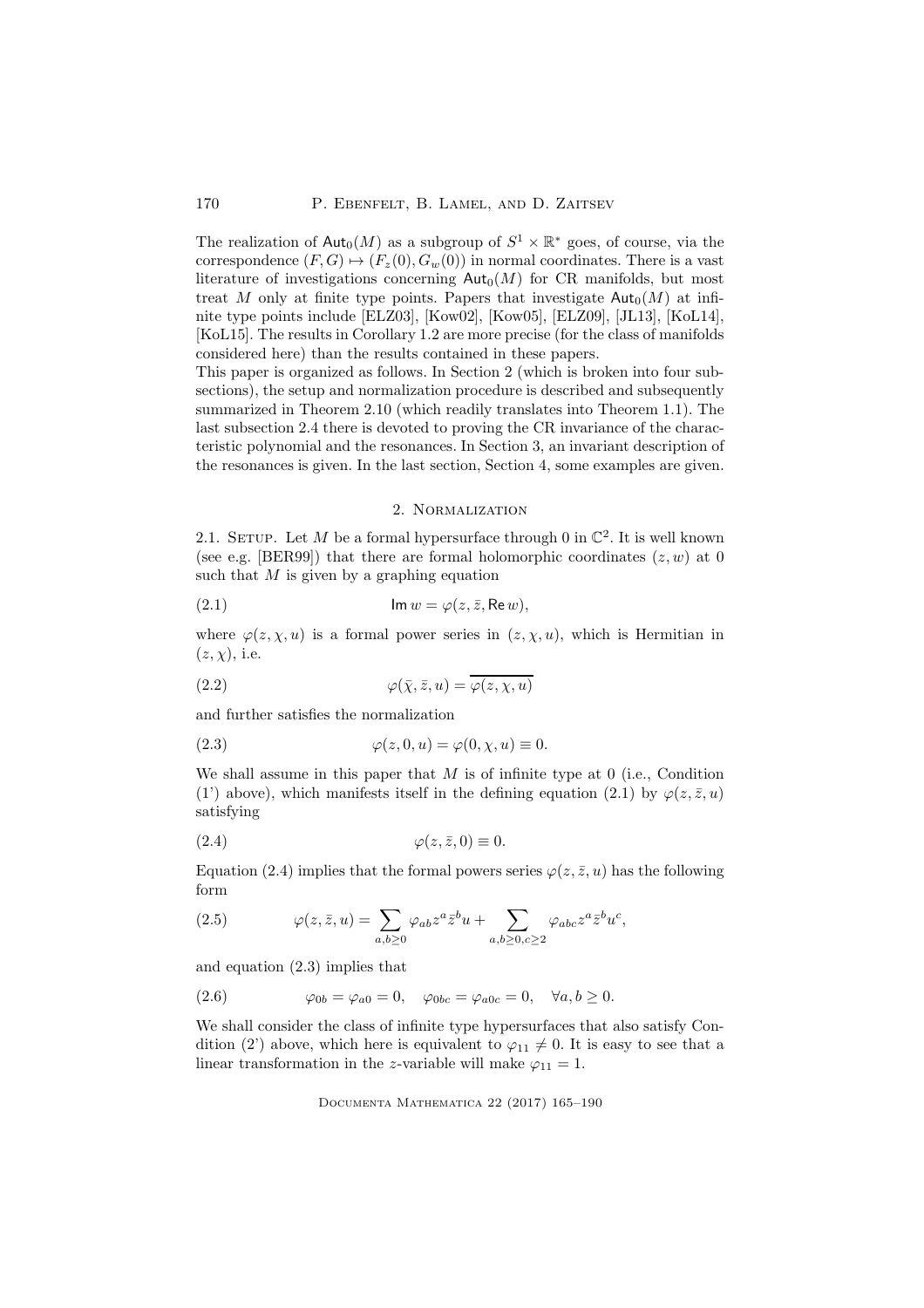The realization of  $\text{Aut}_0(M)$  as a subgroup of  $S^1 \times \mathbb{R}^*$  goes, of course, via the correspondence  $(F, G) \mapsto (F_z(0), G_w(0))$  in normal coordinates. There is a vast literature of investigations concerning  $Aut_0(M)$  for CR manifolds, but most treat M only at finite type points. Papers that investigate  $\text{Aut}_0(M)$  at infinite type points include [ELZ03], [Kow02], [Kow05], [ELZ09], [JL13], [KoL14], [KoL15]. The results in Corollary 1.2 are more precise (for the class of manifolds considered here) than the results contained in these papers.

This paper is organized as follows. In Section 2 (which is broken into four subsections), the setup and normalization procedure is described and subsequently summarized in Theorem 2.10 (which readily translates into Theorem 1.1). The last subsection 2.4 there is devoted to proving the CR invariance of the characteristic polynomial and the resonances. In Section 3, an invariant description of the resonances is given. In the last section, Section 4, some examples are given.

## 2. Normalization

2.1. SETUP. Let M be a formal hypersurface through 0 in  $\mathbb{C}^2$ . It is well known (see e.g. [BER99]) that there are formal holomorphic coordinates  $(z, w)$  at 0 such that  $M$  is given by a graphing equation

(2.1) 
$$
\operatorname{Im} w = \varphi(z, \bar{z}, \operatorname{Re} w),
$$

where  $\varphi(z, \chi, u)$  is a formal power series in  $(z, \chi, u)$ , which is Hermitian in  $(z, \chi)$ , i.e.

(2.2) 
$$
\varphi(\bar{x}, \bar{z}, u) = \overline{\varphi(z, \chi, u)}
$$

and further satisfies the normalization

(2.3) 
$$
\varphi(z,0,u) = \varphi(0,\chi,u) \equiv 0.
$$

We shall assume in this paper that  $M$  is of infinite type at 0 (i.e., Condition (1) above), which manifests itself in the defining equation (2.1) by  $\varphi(z,\bar{z},u)$ satisfying

$$
(2.4) \qquad \qquad \varphi(z,\bar{z},0) \equiv 0.
$$

Equation (2.4) implies that the formal powers series  $\varphi(z, \bar{z}, u)$  has the following form

(2.5) 
$$
\varphi(z,\bar{z},u) = \sum_{a,b\geq 0} \varphi_{ab} z^a \bar{z}^b u + \sum_{a,b\geq 0, c\geq 2} \varphi_{abc} z^a \bar{z}^b u^c,
$$

and equation (2.3) implies that

(2.6) 
$$
\varphi_{0b} = \varphi_{a0} = 0, \quad \varphi_{0bc} = \varphi_{a0c} = 0, \quad \forall a, b \ge 0.
$$

We shall consider the class of infinite type hypersurfaces that also satisfy Condition (2') above, which here is equivalent to  $\varphi_{11} \neq 0$ . It is easy to see that a linear transformation in the z-variable will make  $\varphi_{11} = 1$ .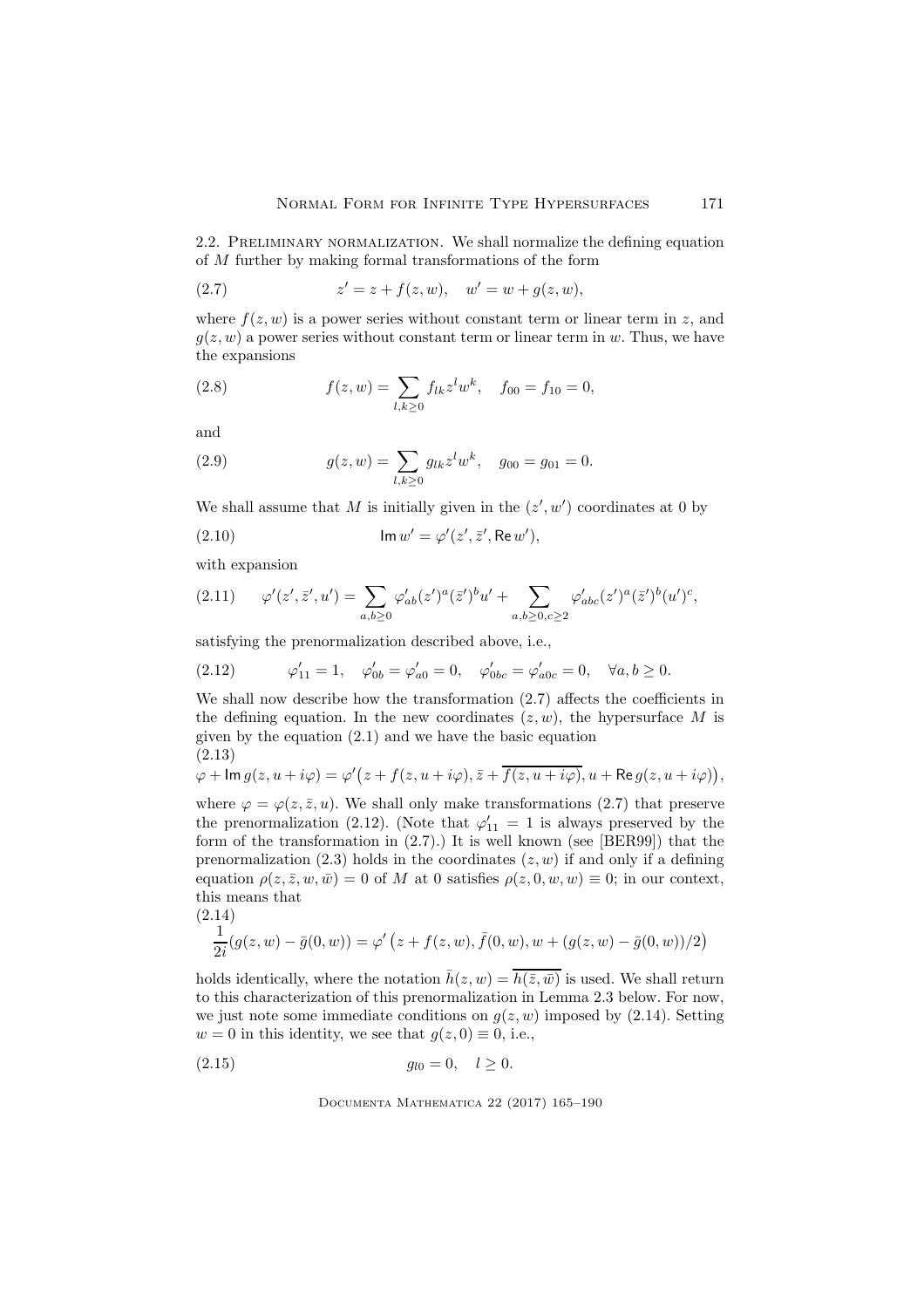2.2. Preliminary normalization. We shall normalize the defining equation of M further by making formal transformations of the form

(2.7) 
$$
z' = z + f(z, w), \quad w' = w + g(z, w),
$$

where  $f(z, w)$  is a power series without constant term or linear term in z, and  $g(z, w)$  a power series without constant term or linear term in w. Thus, we have the expansions

(2.8) 
$$
f(z, w) = \sum_{l,k \ge 0} f_{lk} z^l w^k, \quad f_{00} = f_{10} = 0,
$$

and

(2.9) 
$$
g(z, w) = \sum_{l,k \ge 0} g_{lk} z^l w^k, \quad g_{00} = g_{01} = 0.
$$

We shall assume that M is initially given in the  $(z', w')$  coordinates at 0 by

(2.10) 
$$
\operatorname{Im} w' = \varphi'(z', \bar{z}', \operatorname{Re} w'),
$$

with expansion

$$
(2.11) \qquad \varphi'(z',\bar{z}',u') = \sum_{a,b\geq 0} \varphi'_{ab}(z')^a(\bar{z}')^b u' + \sum_{a,b\geq 0, c\geq 2} \varphi'_{abc}(z')^a(\bar{z}')^b(u')^c,
$$

satisfying the prenormalization described above, i.e.,

(2.12) 
$$
\varphi'_{11} = 1, \quad \varphi'_{0b} = \varphi'_{a0} = 0, \quad \varphi'_{0bc} = \varphi'_{a0c} = 0, \quad \forall a, b \ge 0.
$$

We shall now describe how the transformation (2.7) affects the coefficients in the defining equation. In the new coordinates  $(z, w)$ , the hypersurface M is given by the equation (2.1) and we have the basic equation (2.13)

$$
\varphi + \operatorname{Im} g(z, u + i\varphi) = \varphi'(z + f(z, u + i\varphi), \overline{z} + \overline{f(z, u + i\varphi)}, u + \operatorname{Re} g(z, u + i\varphi)),
$$

where  $\varphi = \varphi(z, \bar{z}, u)$ . We shall only make transformations (2.7) that preserve the prenormalization (2.12). (Note that  $\varphi'_{11} = 1$  is always preserved by the form of the transformation in (2.7).) It is well known (see [BER99]) that the prenormalization (2.3) holds in the coordinates  $(z, w)$  if and only if a defining equation  $\rho(z, \bar{z}, w, \bar{w}) = 0$  of M at 0 satisfies  $\rho(z, 0, w, w) \equiv 0$ ; in our context, this means that

$$
\frac{1}{2i}(g(z,w) - \bar{g}(0,w)) = \varphi'(z + f(z,w), \bar{f}(0,w), w + (g(z,w) - \bar{g}(0,w))/2)
$$

holds identically, where the notation  $\bar{h}(z, w) = \overline{h(\bar{z}, \bar{w})}$  is used. We shall return to this characterization of this prenormalization in Lemma 2.3 below. For now, we just note some immediate conditions on  $q(z, w)$  imposed by (2.14). Setting  $w = 0$  in this identity, we see that  $q(z, 0) \equiv 0$ , i.e.,

$$
(2.15) \t\t\t\t g_{l0} = 0, \quad l \ge 0.
$$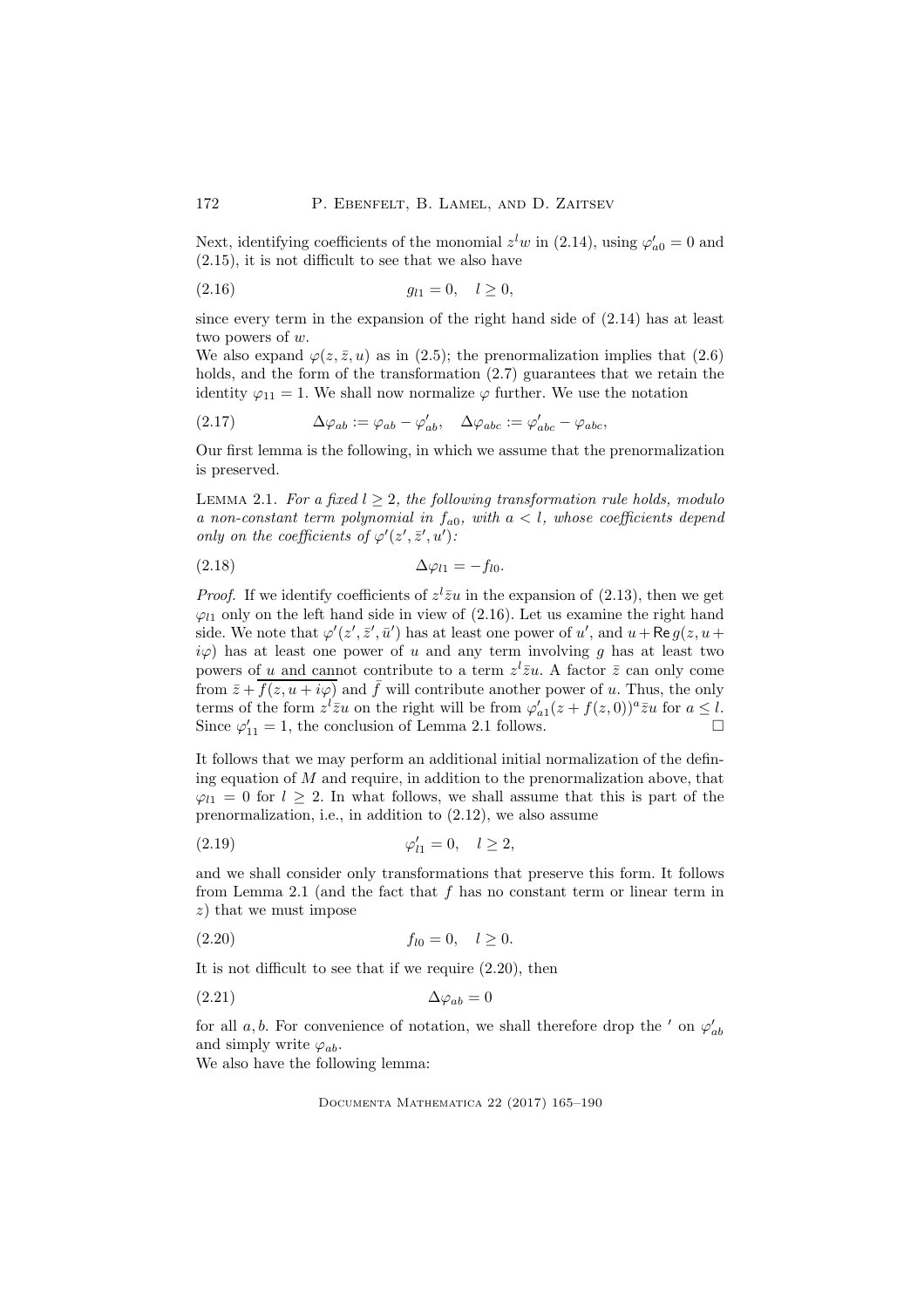Next, identifying coefficients of the monomial  $z<sup>l</sup>w$  in (2.14), using  $\varphi'_{a0} = 0$  and (2.15), it is not difficult to see that we also have

$$
(2.16) \t\t\t\t g_{l1} = 0, \quad l \ge 0,
$$

since every term in the expansion of the right hand side of (2.14) has at least two powers of w.

We also expand  $\varphi(z, \bar{z}, u)$  as in (2.5); the prenormalization implies that (2.6) holds, and the form of the transformation  $(2.7)$  guarantees that we retain the identity  $\varphi_{11} = 1$ . We shall now normalize  $\varphi$  further. We use the notation

(2.17) 
$$
\Delta \varphi_{ab} := \varphi_{ab} - \varphi'_{ab}, \quad \Delta \varphi_{abc} := \varphi'_{abc} - \varphi_{abc},
$$

Our first lemma is the following, in which we assume that the prenormalization is preserved.

LEMMA 2.1. For a fixed  $l \geq 2$ , the following transformation rule holds, modulo a non-constant term polynomial in  $f_{a0}$ , with  $a < l$ , whose coefficients depend only on the coefficients of  $\varphi'(z',\bar{z}',u')$ :

$$
\Delta \varphi_{l1} = -f_{l0}.
$$

*Proof.* If we identify coefficients of  $z^{l} \overline{z} u$  in the expansion of (2.13), then we get  $\varphi_{11}$  only on the left hand side in view of (2.16). Let us examine the right hand side. We note that  $\varphi'(z', \bar{z}', \bar{u}')$  has at least one power of u', and  $u + \text{Re } g(z, u + \bar{u}')$  $i\varphi$  has at least one power of u and any term involving g has at least two powers of u and cannot contribute to a term  $z^{l} \overline{z} u$ . A factor  $\overline{z}$  can only come from  $\bar{z} + \overline{f(z, u + i\varphi)}$  and  $\bar{f}$  will contribute another power of u. Thus, the only terms of the form  $z^l \overline{z}u$  on the right will be from  $\varphi'_{a1}(z + f(z, 0))^a \overline{z}u$  for  $a \leq l$ . Since  $\varphi'_{11} = 1$ , the conclusion of Lemma 2.1 follows.

It follows that we may perform an additional initial normalization of the defining equation of  $M$  and require, in addition to the prenormalization above, that  $\varphi_{l1} = 0$  for  $l > 2$ . In what follows, we shall assume that this is part of the prenormalization, i.e., in addition to (2.12), we also assume

(2.19) 
$$
\varphi'_{l1} = 0, \quad l \ge 2,
$$

and we shall consider only transformations that preserve this form. It follows from Lemma 2.1 (and the fact that  $f$  has no constant term or linear term in  $z$ ) that we must impose

(2.20) fl<sup>0</sup> = 0, l ≥ 0.

It is not difficult to see that if we require (2.20), then

$$
\Delta \varphi_{ab} = 0
$$

for all  $a, b$ . For convenience of notation, we shall therefore drop the  $'$  on  $\varphi'_{ab}$ and simply write  $\varphi_{ab}$ .

We also have the following lemma: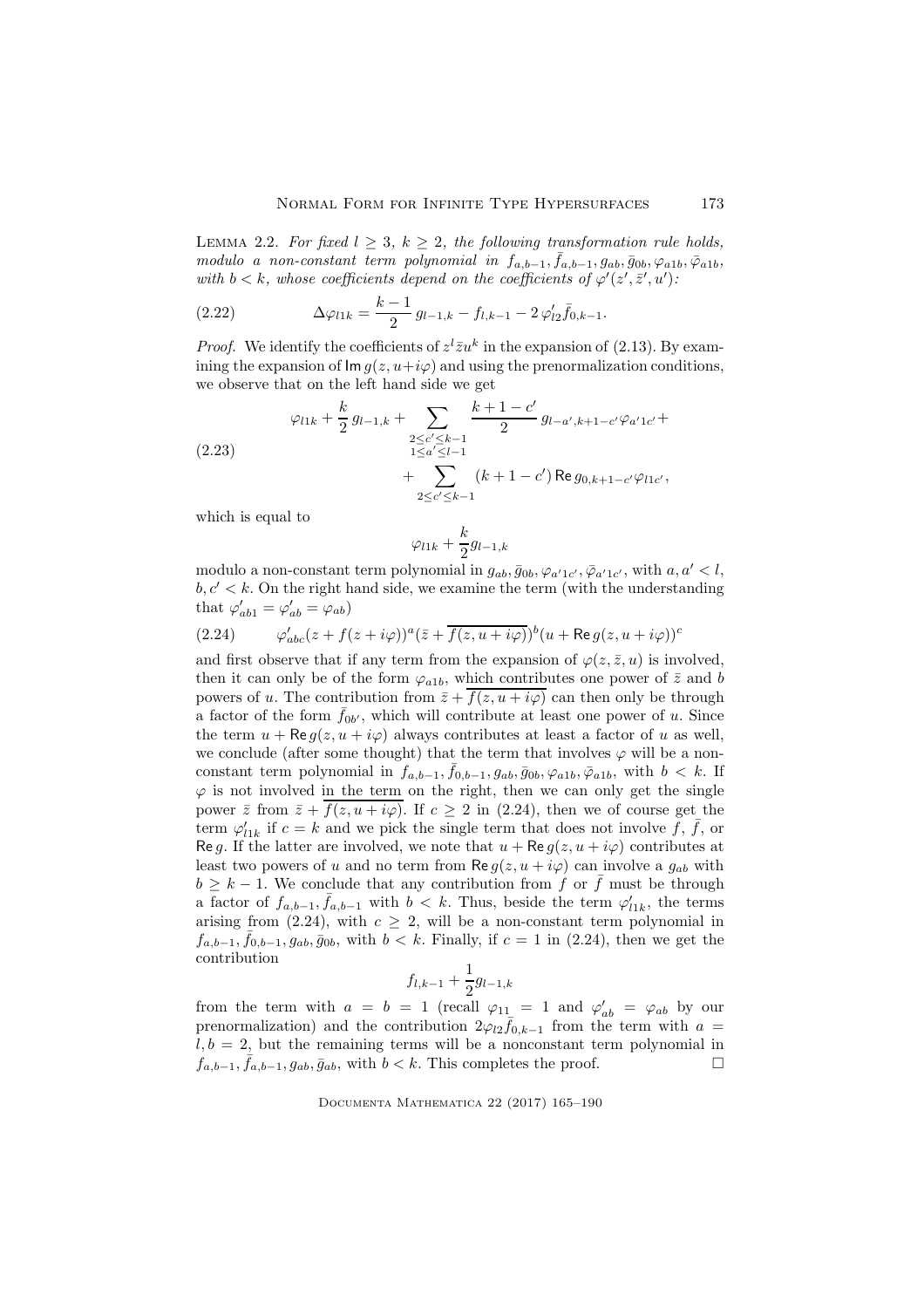LEMMA 2.2. For fixed  $l \geq 3$ ,  $k \geq 2$ , the following transformation rule holds, modulo a non-constant term polynomial in  $f_{a,b-1}, \bar{f}_{a,b-1}, g_{ab}, \bar{g}_{0b}, \varphi_{a1b}, \bar{\varphi}_{a1b}$ with  $b < k$ , whose coefficients depend on the coefficients of  $\varphi'(z', \bar{z}', u')$ :

(2.22) 
$$
\Delta \varphi_{l1k} = \frac{k-1}{2} g_{l-1,k} - f_{l,k-1} - 2 \varphi'_{l2} \bar{f}_{0,k-1}.
$$

*Proof.* We identify the coefficients of  $z^{l} \overline{z} u^{k}$  in the expansion of (2.13). By examining the expansion of  $\text{Im } q(z, u+i\varphi)$  and using the prenormalization conditions, we observe that on the left hand side we get

(2.23) 
$$
\varphi_{l1k} + \frac{k}{2} g_{l-1,k} + \sum_{\substack{2 \le c' \le k-1 \\ 1 \le a' \le l-1}} \frac{k+1-c'}{2} g_{l-a',k+1-c'} \varphi_{a'1c'} + \sum_{\substack{2 \le c' \le k-1 \\ 2 \le c' \le k-1}} (k+1-c') \operatorname{Re} g_{0,k+1-c'} \varphi_{l1c'},
$$

which is equal to

$$
\varphi_{l1k}+\frac{k}{2}g_{l-1,k}
$$

modulo a non-constant term polynomial in  $g_{ab}$ ,  $\bar{g}_{0b}$ ,  $\varphi_{a'1c'}$ ,  $\bar{\varphi}_{a'1c'}$ , with  $a, a' < l$ ,  $b, c' < k$ . On the right hand side, we examine the term (with the understanding that  $\varphi'_{ab1} = \varphi'_{ab} = \varphi_{ab}$ 

(2.24) 
$$
\varphi'_{abc}(z+f(z+i\varphi))^a(\bar{z}+\overline{f(z,u+i\varphi)})^b(u+{\sf Re}\,g(z,u+i\varphi))^c
$$

and first observe that if any term from the expansion of  $\varphi(z, \bar{z}, u)$  is involved, then it can only be of the form  $\varphi_{a1b}$ , which contributes one power of  $\bar{z}$  and b powers of u. The contribution from  $\bar{z} + \overline{f(z, u + i\varphi)}$  can then only be through a factor of the form  $\bar{f}_{0b'}$ , which will contribute at least one power of u. Since the term  $u + \text{Re } g(z, u + i\varphi)$  always contributes at least a factor of u as well, we conclude (after some thought) that the term that involves  $\varphi$  will be a nonconstant term polynomial in  $f_{a,b-1}, \bar{f}_{0,b-1}, g_{ab}, \bar{g}_{0b}, \varphi_{a1b}, \bar{\varphi}_{a1b}$ , with  $b < k$ . If  $\varphi$  is not involved in the term on the right, then we can only get the single power  $\bar{z}$  from  $\bar{z} + f(z, u + i\varphi)$ . If  $c \geq 2$  in (2.24), then we of course get the term  $\varphi'_{11k}$  if  $c = k$  and we pick the single term that does not involve  $\tilde{f}, \bar{f}$ , or Re g. If the latter are involved, we note that  $u + \text{Re } g(z, u + i\varphi)$  contributes at least two powers of u and no term from  $\text{Re } g(z, u + i\varphi)$  can involve a  $g_{ab}$  with  $b \geq k-1$ . We conclude that any contribution from f or  $\bar{f}$  must be through a factor of  $f_{a,b-1}, \bar{f}_{a,b-1}$  with  $b < k$ . Thus, beside the term  $\varphi'_{11k}$ , the terms arising from (2.24), with  $c \geq 2$ , will be a non-constant term polynomial in  $f_{a,b-1}, \bar{f}_{0,b-1}, g_{ab}, \bar{g}_{0b}$ , with  $b < k$ . Finally, if  $c = 1$  in (2.24), then we get the contribution

$$
f_{l,k-1} + \frac{1}{2}g_{l-1,k}
$$

from the term with  $a = b = 1$  (recall  $\varphi_{11} = 1$  and  $\varphi'_{ab} = \varphi_{ab}$  by our prenormalization) and the contribution  $2\varphi_{l2} \bar{f}_{0,k-1}$  from the term with  $a =$  $l, b = 2$ , but the remaining terms will be a nonconstant term polynomial in  $f_{a,b-1}, \bar{f}_{a,b-1}, g_{ab}, \bar{g}_{ab}$ , with  $b < k$ . This completes the proof.  $\Box$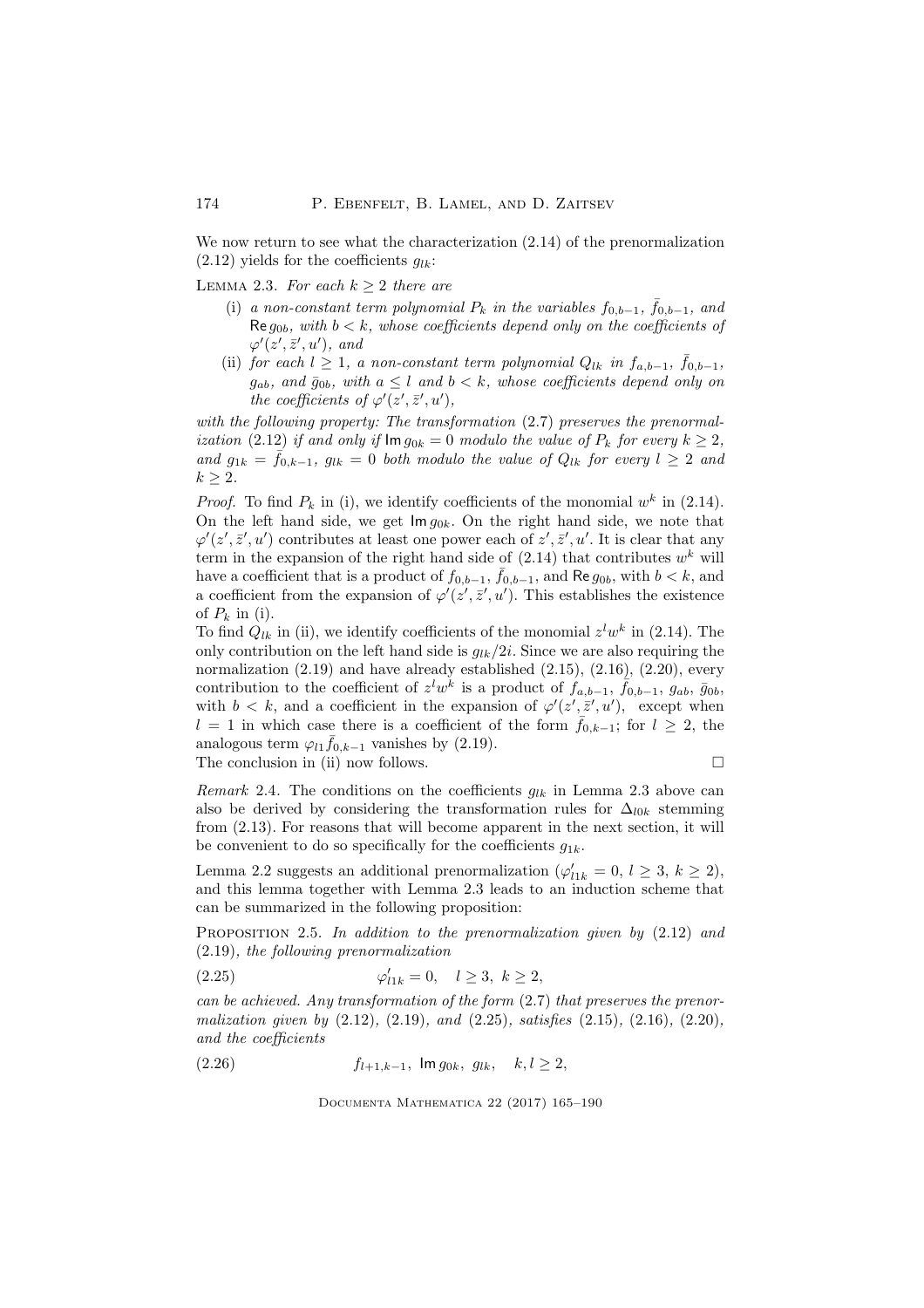We now return to see what the characterization  $(2.14)$  of the prenormalization  $(2.12)$  yields for the coefficients  $q_{lk}$ :

LEMMA 2.3. For each  $k \geq 2$  there are

- (i) a non-constant term polynomial  $P_k$  in the variables  $f_{0,b-1}$ ,  $\bar{f}_{0,b-1}$ , and Re  $g_{0b}$ , with  $b < k$ , whose coefficients depend only on the coefficients of  $\varphi'(z',\bar{z}',u'),$  and
- (ii) for each  $l \geq 1$ , a non-constant term polynomial  $Q_{lk}$  in  $f_{a,b-1}$ ,  $\bar{f}_{0,b-1}$ ,  $g_{ab}$ , and  $\bar{g}_{0b}$ , with  $a \leq l$  and  $b < k$ , whose coefficients depend only on the coefficients of  $\varphi'(z', \bar{z}', u')$ ,

with the following property: The transformation  $(2.7)$  preserves the prenormalization (2.12) if and only if  $\text{Im } q_{0k} = 0$  modulo the value of  $P_k$  for every  $k \geq 2$ . and  $g_{1k} = \bar{f}_{0,k-1}$ ,  $g_{lk} = 0$  both modulo the value of  $Q_{lk}$  for every  $l \geq 2$  and  $k > 2$ .

*Proof.* To find  $P_k$  in (i), we identify coefficients of the monomial  $w^k$  in (2.14). On the left hand side, we get  $\text{Im } q_{0k}$ . On the right hand side, we note that  $\varphi'(z',\bar{z}',u')$  contributes at least one power each of  $z',\bar{z}',u'$ . It is clear that any term in the expansion of the right hand side of  $(2.14)$  that contributes  $w<sup>k</sup>$  will have a coefficient that is a product of  $f_{0,b-1}$ ,  $\bar{f}_{0,b-1}$ , and Re  $g_{0b}$ , with  $b < k$ , and a coefficient from the expansion of  $\varphi'(z',\bar{z}',u')$ . This establishes the existence of  $P_k$  in (i).

To find  $Q_{lk}$  in (ii), we identify coefficients of the monomial  $z^l w^k$  in (2.14). The only contribution on the left hand side is  $g_{lk}/2i$ . Since we are also requiring the normalization (2.19) and have already established (2.15), (2.16), (2.20), every contribution to the coefficient of  $z^l w^k$  is a product of  $f_{a,b-1}$ ,  $\overline{f}_{0,b-1}$ ,  $g_{ab}$ ,  $\overline{g}_{0b}$ , with  $b < k$ , and a coefficient in the expansion of  $\varphi'(z', \bar{z}', u')$ , except when  $l = 1$  in which case there is a coefficient of the form  $\bar{f}_{0,k-1}$ ; for  $l \geq 2$ , the analogous term  $\varphi_{l_1} \bar{f}_{0,k-1}$  vanishes by (2.19). The conclusion in (ii) now follows.  $\Box$ 

Remark 2.4. The conditions on the coefficients  $g_{lk}$  in Lemma 2.3 above can also be derived by considering the transformation rules for  $\Delta_{l0k}$  stemming from (2.13). For reasons that will become apparent in the next section, it will be convenient to do so specifically for the coefficients  $q_{1k}$ .

Lemma 2.2 suggests an additional prenormalization ( $\varphi'_{l1k} = 0, l \geq 3, k \geq 2$ ), and this lemma together with Lemma 2.3 leads to an induction scheme that can be summarized in the following proposition:

PROPOSITION 2.5. In addition to the prenormalization given by  $(2.12)$  and (2.19), the following prenormalization

(2.25) 
$$
\varphi'_{11k} = 0, \quad l \ge 3, \ k \ge 2,
$$

can be achieved. Any transformation of the form (2.7) that preserves the prenormalization given by  $(2.12)$ ,  $(2.19)$ , and  $(2.25)$ , satisfies  $(2.15)$ ,  $(2.16)$ ,  $(2.20)$ , and the coefficients

(2.26) 
$$
f_{l+1,k-1}
$$
,  $\text{Im } g_{0k}$ ,  $g_{lk}$ ,  $k, l \ge 2$ ,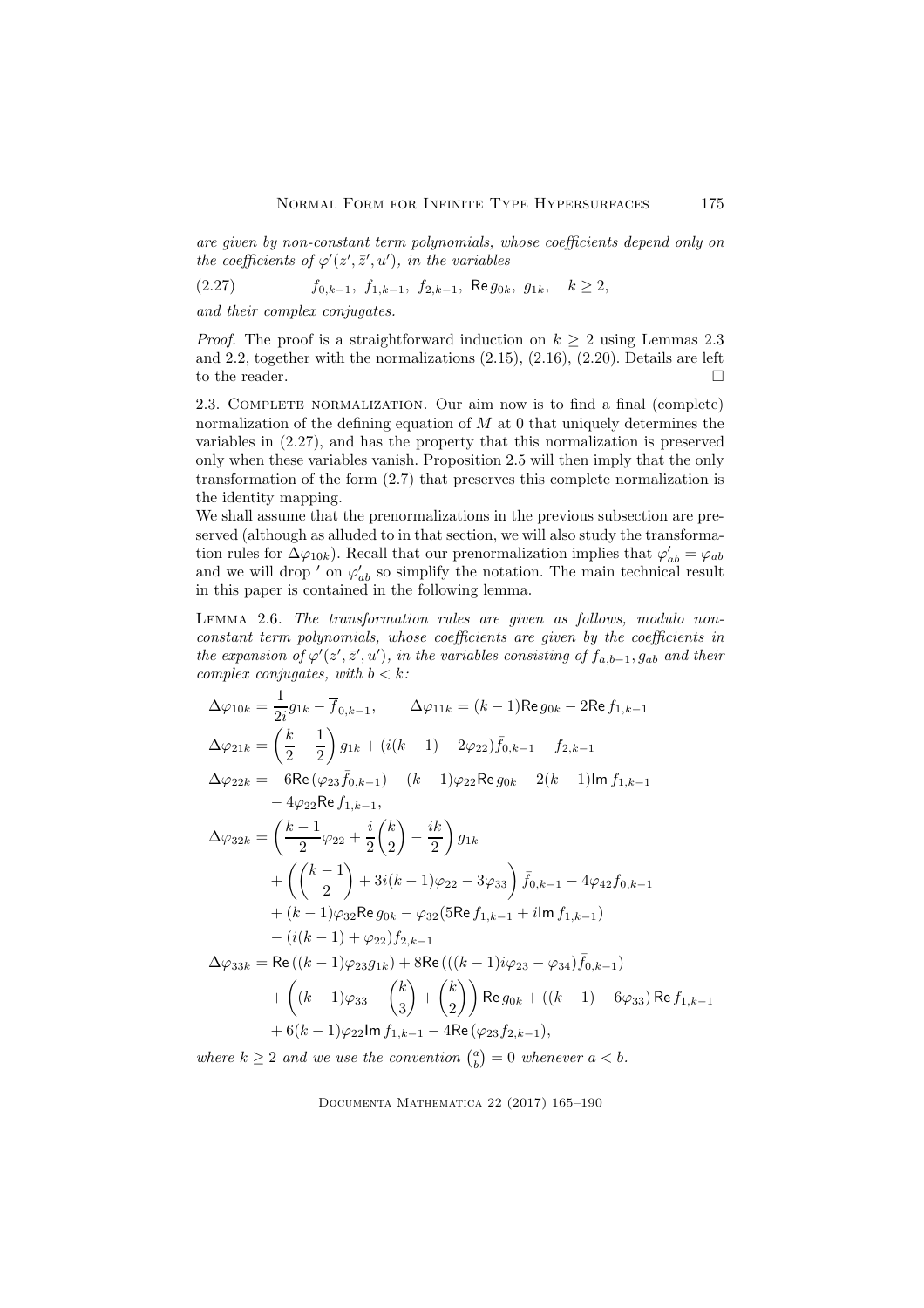are given by non-constant term polynomials, whose coefficients depend only on the coefficients of  $\varphi'(z',\bar{z}',u')$ , in the variables

$$
(2.27) \t f_{0,k-1}, f_{1,k-1}, f_{2,k-1}, \text{Re } g_{0k}, g_{1k}, k \ge 2,
$$

and their complex conjugates.

*Proof.* The proof is a straightforward induction on  $k > 2$  using Lemmas 2.3 and 2.2, together with the normalizations (2.15), (2.16), (2.20). Details are left to the reader.  $\Box$ 

2.3. Complete normalization. Our aim now is to find a final (complete) normalization of the defining equation of  $M$  at 0 that uniquely determines the variables in (2.27), and has the property that this normalization is preserved only when these variables vanish. Proposition 2.5 will then imply that the only transformation of the form (2.7) that preserves this complete normalization is the identity mapping.

We shall assume that the prenormalizations in the previous subsection are preserved (although as alluded to in that section, we will also study the transformation rules for  $\Delta\varphi_{10k}$ ). Recall that our prenormalization implies that  $\varphi'_{ab} = \varphi_{ab}$ and we will drop  $'$  on  $\varphi'_{ab}$  so simplify the notation. The main technical result in this paper is contained in the following lemma.

Lemma 2.6. The transformation rules are given as follows, modulo nonconstant term polynomials, whose coefficients are given by the coefficients in the expansion of  $\varphi'(z',\bar{z}',u')$ , in the variables consisting of  $f_{a,b-1},g_{ab}$  and their complex conjugates, with  $b < k$ :

$$
\Delta\varphi_{10k} = \frac{1}{2i}g_{1k} - \overline{f}_{0,k-1}, \qquad \Delta\varphi_{11k} = (k-1)\text{Re}\,g_{0k} - 2\text{Re}\,f_{1,k-1}
$$
  
\n
$$
\Delta\varphi_{21k} = \left(\frac{k}{2} - \frac{1}{2}\right)g_{1k} + (i(k-1) - 2\varphi_{22})\bar{f}_{0,k-1} - f_{2,k-1}
$$
  
\n
$$
\Delta\varphi_{22k} = -6\text{Re}\,(\varphi_{23}\bar{f}_{0,k-1}) + (k-1)\varphi_{22}\text{Re}\,g_{0k} + 2(k-1)\text{Im}\,f_{1,k-1}
$$
  
\n
$$
- 4\varphi_{22}\text{Re}\,f_{1,k-1},
$$
  
\n
$$
\Delta\varphi_{32k} = \left(\frac{k-1}{2}\varphi_{22} + \frac{i}{2}\binom{k}{2} - \frac{ik}{2}\right)g_{1k}
$$
  
\n
$$
+ \left(\binom{k-1}{2} + 3i(k-1)\varphi_{22} - 3\varphi_{33}\right)\bar{f}_{0,k-1} - 4\varphi_{42}f_{0,k-1}
$$
  
\n
$$
+ (k-1)\varphi_{32}\text{Re}\,g_{0k} - \varphi_{32}(5\text{Re}\,f_{1,k-1} + i\text{Im}\,f_{1,k-1})
$$
  
\n
$$
- (i(k-1) + \varphi_{22})f_{2,k-1}
$$
  
\n
$$
\Delta\varphi_{33k} = \text{Re}\,((k-1)\varphi_{23}g_{1k}) + 8\text{Re}\,(((k-1)i\varphi_{23} - \varphi_{34})\bar{f}_{0,k-1})
$$
  
\n
$$
+ \left((k-1)\varphi_{33} - \binom{k}{3} + \binom{k}{2}\right)\text{Re}\,g_{0k} + ((k-1) - 6\varphi_{33})\text{Re}\,f_{1,k-1}
$$
  
\n
$$
+ 6(k-1)\varphi_{22}\text{Im}\,f_{1,k-1} - 4\text{Re}\,(\varphi_{23}f_{2,k-1}),
$$

where  $k \geq 2$  and we use the convention  $\binom{a}{b} = 0$  whenever  $a < b$ .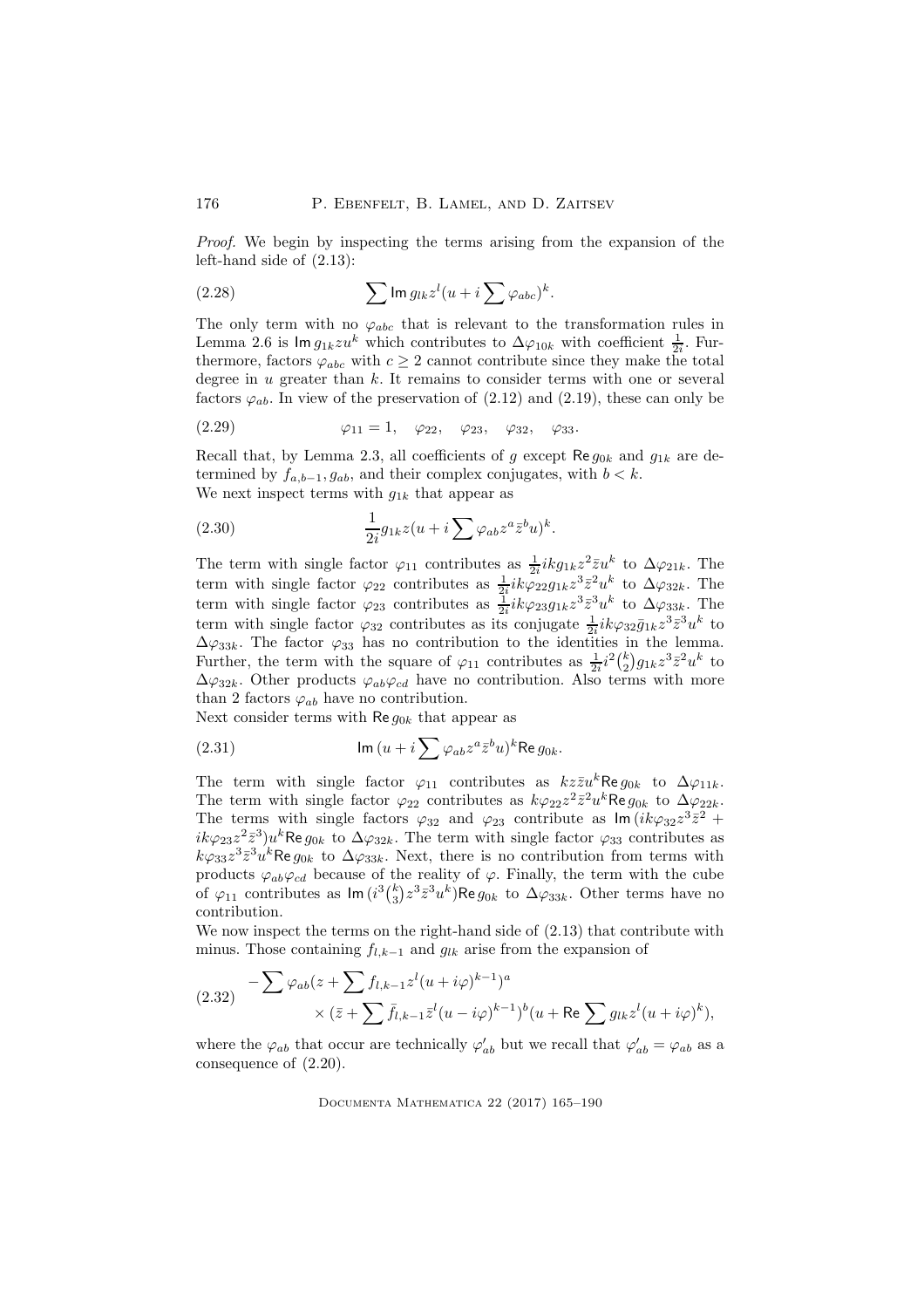Proof. We begin by inspecting the terms arising from the expansion of the left-hand side of (2.13):

(2.28) 
$$
\sum \operatorname{Im} g_{lk} z^l (u + i \sum \varphi_{abc})^k.
$$

The only term with no  $\varphi_{abc}$  that is relevant to the transformation rules in Lemma 2.6 is  $\text{Im } g_{1k} z u^k$  which contributes to  $\Delta \varphi_{10k}$  with coefficient  $\frac{1}{2i}$ . Furthermore, factors  $\varphi_{abc}$  with  $c \geq 2$  cannot contribute since they make the total degree in  $u$  greater than  $k$ . It remains to consider terms with one or several factors  $\varphi_{ab}$ . In view of the preservation of (2.12) and (2.19), these can only be

(2.29) 
$$
\varphi_{11} = 1, \quad \varphi_{22}, \quad \varphi_{23}, \quad \varphi_{32}, \quad \varphi_{33}.
$$

Recall that, by Lemma 2.3, all coefficients of g except  $\text{Re } g_{0k}$  and  $g_{1k}$  are determined by  $f_{a,b-1}, g_{ab}$ , and their complex conjugates, with  $b < k$ . We next inspect terms with  $g_{1k}$  that appear as

(2.30) 
$$
\frac{1}{2i}g_{1k}z(u+i\sum \varphi_{ab}z^a\bar{z}^bu)^k.
$$

The term with single factor  $\varphi_{11}$  contributes as  $\frac{1}{2i}ikg_{1k}z^2\overline{z}u^k$  to  $\Delta\varphi_{21k}$ . The term with single factor  $\varphi_{22}$  contributes as  $\frac{1}{2}ik\varphi_{22}g_{1k}z^3\bar{z}^2u^k$  to  $\Delta\varphi_{32k}$ . The term with single factor  $\varphi_{23}$  contributes as  $\frac{1}{2i}ik\varphi_{23}g_{1k}z^3\bar{z}^3u^k$  to  $\Delta\varphi_{33k}$ . The term with single factor  $\varphi_{32}$  contributes as its conjugate  $\frac{1}{2i}ik\varphi_{32}\bar{g}_{1k}z^{3}\bar{z}^{3}u^{k}$  to  $\Delta\varphi_{33k}$ . The factor  $\varphi_{33}$  has no contribution to the identities in the lemma. Further, the term with the square of  $\varphi_{11}$  contributes as  $\frac{1}{2i}i^2\binom{k}{2}g_{1k}z^3\bar{z}^2u^k$  to  $\Delta\varphi_{32k}$ . Other products  $\varphi_{ab}\varphi_{cd}$  have no contribution. Also terms with more than 2 factors  $\varphi_{ab}$  have no contribution.

Next consider terms with  $\text{Re } g_{0k}$  that appear as

(2.31) 
$$
\operatorname{Im} (u + i \sum \varphi_{ab} z^a \bar{z}^b u)^k \operatorname{Re} g_{0k}.
$$

The term with single factor  $\varphi_{11}$  contributes as  $kz\bar{z}u^k$ Re  $g_{0k}$  to  $\Delta\varphi_{11k}$ . The term with single factor  $\varphi_{22}$  contributes as  $k\varphi_{22}z^2\bar{z}^2u^k$ Re  $g_{0k}$  to  $\Delta\varphi_{22k}$ . The terms with single factors  $\varphi_{32}$  and  $\varphi_{23}$  contribute as  $\text{Im}(ik\varphi_{32}z^3\bar{z}^2 +$  $ik\varphi_{23}z^2\bar{z}^3)u^k$ Re  $g_{0k}$  to  $\Delta\varphi_{32k}$ . The term with single factor  $\varphi_{33}$  contributes as  $k\varphi_{33}z^3\bar{z}^3u^k$ Re  $g_{0k}$  to  $\Delta\varphi_{33k}$ . Next, there is no contribution from terms with products  $\varphi_{ab}\varphi_{cd}$  because of the reality of  $\varphi$ . Finally, the term with the cube of  $\varphi_{11}$  contributes as  $\textsf{Im}(i^3\binom{k}{3}z^3\bar{z}^3u^k)\textsf{Re} g_{0k}$  to  $\Delta\varphi_{33k}$ . Other terms have no contribution.

We now inspect the terms on the right-hand side of (2.13) that contribute with minus. Those containing  $f_{l,k-1}$  and  $g_{lk}$  arise from the expansion of

$$
(2.32) \quad -\sum \varphi_{ab}(z+\sum f_{l,k-1}z^l(u+i\varphi)^{k-1})^a
$$

$$
\times (\bar{z}+\sum \bar{f}_{l,k-1}\bar{z}^l(u-i\varphi)^{k-1})^b(u+\text{Re}\sum g_{lk}z^l(u+i\varphi)^k),
$$

where the  $\varphi_{ab}$  that occur are technically  $\varphi'_{ab}$  but we recall that  $\varphi'_{ab} = \varphi_{ab}$  as a consequence of (2.20).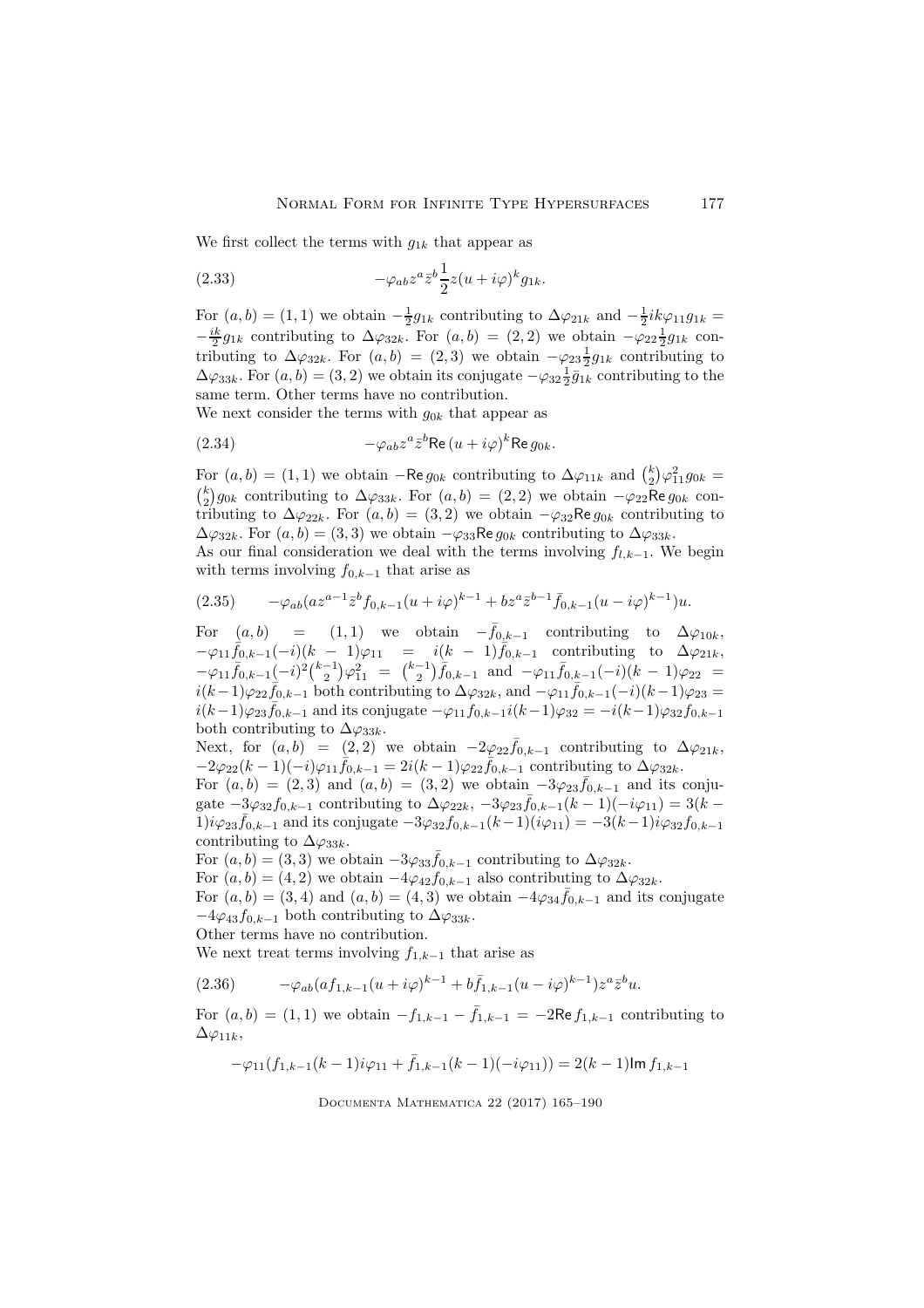We first collect the terms with  $g_{1k}$  that appear as

(2.33) 
$$
-\varphi_{ab}z^a\overline{z}^b\frac{1}{2}z(u+i\varphi)^k g_{1k}.
$$

For  $(a, b) = (1, 1)$  we obtain  $-\frac{1}{2}g_{1k}$  contributing to  $\Delta\varphi_{21k}$  and  $-\frac{1}{2}ik\varphi_{11}g_{1k} =$  $-\frac{ik}{2}g_{1k}$  contributing to  $\Delta\varphi_{32k}$ . For  $(a,b) = (2,2)$  we obtain  $-\varphi_{22} \frac{1}{2}g_{1k}$  contributing to  $\Delta\varphi_{32k}$ . For  $(a, b) = (2, 3)$  we obtain  $-\varphi_{23}\frac{1}{2}g_{1k}$  contributing to  $\Delta\varphi_{33k}$ . For  $(a, b) = (3, 2)$  we obtain its conjugate  $-\varphi_{32} \frac{1}{2} \bar{g}_{1k}$  contributing to the same term. Other terms have no contribution.

We next consider the terms with  $g_{0k}$  that appear as

(2.34) 
$$
-\varphi_{ab}z^a\bar{z}^b\text{Re}\,(u+i\varphi)^k\text{Re}\,g_{0k}.
$$

For  $(a, b) = (1, 1)$  we obtain  $-$ Re  $g_{0k}$  contributing to  $\Delta \varphi_{11k}$  and  $\binom{k}{2} \varphi_{11}^2 g_{0k} =$  $\binom{k}{2}g_{0k}$  contributing to  $\Delta\varphi_{33k}$ . For  $(a, b) = (2, 2)$  we obtain  $-\varphi_{22}$ Re  $g_{0k}$  contributing to  $\Delta\varphi_{22k}$ . For  $(a, b) = (3, 2)$  we obtain  $-\varphi_{32}$ Re  $g_{0k}$  contributing to  $\Delta\varphi_{32k}$ . For  $(a, b) = (3, 3)$  we obtain  $-\varphi_{33}$ Re  $g_{0k}$  contributing to  $\Delta\varphi_{33k}$ .

As our final consideration we deal with the terms involving  $f_{l,k-1}$ . We begin with terms involving  $f_{0,k-1}$  that arise as

$$
(2.35) \qquad -\varphi_{ab}(az^{a-1}\bar{z}^b f_{0,k-1}(u+i\varphi)^{k-1} + bz^a \bar{z}^{b-1}\bar{f}_{0,k-1}(u-i\varphi)^{k-1})u.
$$

For  $(a, b)$  = (1, 1) we obtain  $-\bar{f}_{0,k-1}$  contributing to  $\Delta \varphi_{10k}$ ,  $-\varphi_{11} \bar{f}_{0,k-1}(-i)(k-1)\varphi_{11} = i(k-1)\bar{f}_{0,k-1}$  contributing to  $\Delta \varphi_{21k}$ ,  $-\varphi_{11}\bar{f}_{0,k-1}(-i)^2\binom{k-1}{2}\varphi_{11}^2 = \binom{k-1}{2}\bar{f}_{0,k-1}$  and  $-\varphi_{11}\bar{f}_{0,k-1}(-i)(k-1)\varphi_{22} =$  $i(k-1)\varphi_{22} \bar{f}_{0,k-1}$  both contributing to  $\Delta \varphi_{32k}$ , and  $-\varphi_{11} \bar{f}_{0,k-1}(-i)(k-1)\varphi_{23} =$  $i(k-1)\varphi_{23} \bar{f}_{0,k-1}$  and its conjugate  $-\varphi_{11} f_{0,k-1}$  $i(k-1)\varphi_{32} = -i(k-1)\varphi_{32} f_{0,k-1}$ both contributing to  $\Delta\varphi_{33k}$ .

Next, for  $(a, b) = (2, 2)$  we obtain  $-2\varphi_{22} \bar{f}_{0,k-1}$  contributing to  $\Delta \varphi_{21k}$ ,  $-2\varphi_{22}(k-1)(-i)\varphi_{11} f_{0,k-1} = 2i(k-1)\varphi_{22} f_{0,k-1}$  contributing to  $\Delta \varphi_{32k}$ .

For  $(a, b) = (2, 3)$  and  $(a, b) = (3, 2)$  we obtain  $-3\varphi_{23}\bar{f}_{0,k-1}$  and its conjugate  $-3\varphi_{32}f_{0,k-1}$  contributing to  $\Delta\varphi_{22k}$ ,  $-3\varphi_{23}\bar{f}_{0,k-1}(k-1)(-i\varphi_{11})=3(k-1)$  $1)i\varphi_{23} \bar{f}_{0,k-1}$  and its conjugate  $-3\varphi_{32} f_{0,k-1}(k-1)(i\varphi_{11}) = -3(k-1)i\varphi_{32} f_{0,k-1}$ contributing to  $\Delta\varphi_{33k}$ .

For  $(a, b) = (3, 3)$  we obtain  $-3\varphi_{33}\bar{f}_{0,k-1}$  contributing to  $\Delta\varphi_{32k}$ .

For  $(a, b) = (4, 2)$  we obtain  $-4\varphi_{42}f_{0,k-1}$  also contributing to  $\Delta \varphi_{32k}$ .

For  $(a, b) = (3, 4)$  and  $(a, b) = (4, 3)$  we obtain  $-4\varphi_{34}\bar{f}_{0,k-1}$  and its conjugate  $-4\varphi_{43}f_{0,k-1}$  both contributing to  $\Delta\varphi_{33k}$ .

Other terms have no contribution.

We next treat terms involving  $f_{1,k-1}$  that arise as

$$
(2.36) \qquad \qquad -\varphi_{ab}(af_{1,k-1}(u+i\varphi)^{k-1}+b\bar{f}_{1,k-1}(u-i\varphi)^{k-1})z^{a}\bar{z}^{b}u.
$$

For  $(a, b) = (1, 1)$  we obtain  $-f_{1,k-1} - \bar{f}_{1,k-1} = -2\text{Re } f_{1,k-1}$  contributing to  $\Delta\varphi_{11k},$ 

$$
-\varphi_{11}(f_{1,k-1}(k-1)i\varphi_{11} + \bar{f}_{1,k-1}(k-1)(-i\varphi_{11})) = 2(k-1)\mathrm{Im}\,f_{1,k-1}
$$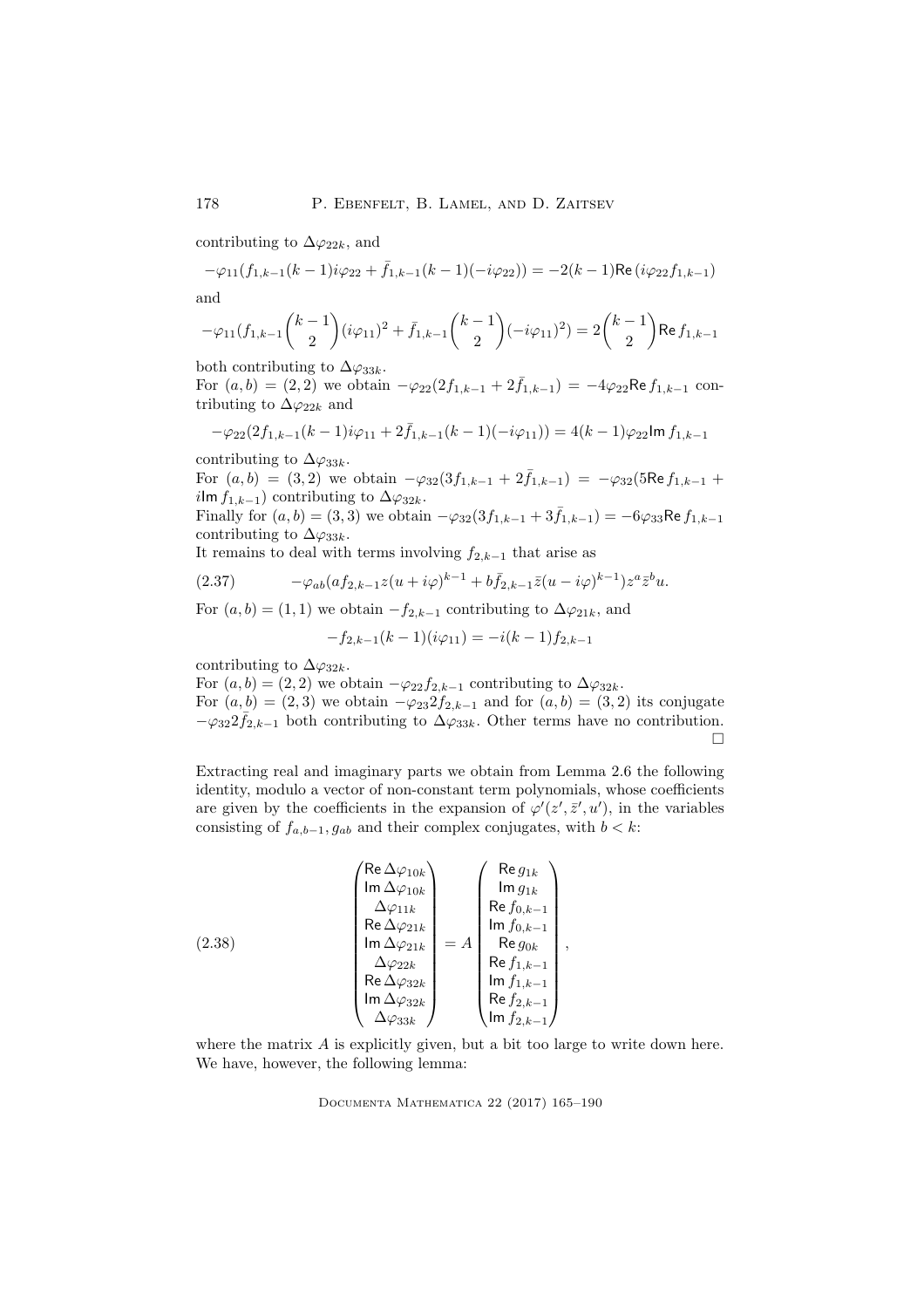contributing to  $\Delta\varphi_{22k}$ , and

$$
-\varphi_{11}(f_{1,k-1}(k-1)i\varphi_{22} + \bar{f}_{1,k-1}(k-1)(-i\varphi_{22})) = -2(k-1)\text{Re}\left(i\varphi_{22}f_{1,k-1}\right)
$$

and

$$
-\varphi_{11}(f_{1,k-1}\binom{k-1}{2}(i\varphi_{11})^2+\bar f_{1,k-1}\binom{k-1}{2}(-i\varphi_{11})^2)=2\binom{k-1}{2}\text{Re}\,f_{1,k-1}
$$

both contributing to  $\Delta\varphi_{33k}$ .

For  $(a, b) = (2, 2)$  we obtain  $-\varphi_{22}(2f_{1,k-1} + 2\bar{f}_{1,k-1}) = -4\varphi_{22}$ Re  $f_{1,k-1}$  contributing to  $\Delta\varphi_{22k}$  and

$$
-\varphi_{22}(2f_{1,k-1}(k-1)i\varphi_{11} + 2\bar{f}_{1,k-1}(k-1)(-i\varphi_{11})) = 4(k-1)\varphi_{22}\ln f_{1,k-1}
$$

contributing to  $\Delta\varphi_{33k}$ .

For  $(a, b) = (3, 2)$  we obtain  $-\varphi_{32}(3f_{1,k-1} + 2\bar{f}_{1,k-1}) = -\varphi_{32}(5\text{Re }f_{1,k-1} + 2\bar{f}_{1,k-1})$ ilm  $f_{1,k-1}$ ) contributing to  $\Delta\varphi_{32k}$ .

Finally for  $(a, b) = (3, 3)$  we obtain  $-\varphi_{32}(3f_{1,k-1} + 3\bar{f}_{1,k-1}) = -6\varphi_{33}$ Re  $f_{1,k-1}$ contributing to  $\Delta\varphi_{33k}$ .

It remains to deal with terms involving  $f_{2,k-1}$  that arise as

$$
(2.37) \qquad \qquad -\varphi_{ab}(af_{2,k-1}z(u+i\varphi)^{k-1}+b\bar{f}_{2,k-1}\bar{z}(u-i\varphi)^{k-1})z^a\bar{z}^b u.
$$

For  $(a, b) = (1, 1)$  we obtain  $-f_{2,k-1}$  contributing to  $\Delta \varphi_{21k}$ , and

$$
-f_{2,k-1}(k-1)(i\varphi_{11}) = -i(k-1)f_{2,k-1}
$$

contributing to  $\Delta\varphi_{32k}$ .

For  $(a, b) = (2, 2)$  we obtain  $-\varphi_{22} f_{2,k-1}$  contributing to  $\Delta \varphi_{32k}$ . For  $(a, b) = (2, 3)$  we obtain  $-\varphi_{23} 2f_{2,k-1}$  and for  $(a, b) = (3, 2)$  its conjugate  $-\varphi_{32} 2 \bar{f}_{2,k-1}$  both contributing to  $\Delta \varphi_{33k}$ . Other terms have no contribution.  $\Box$ 

Extracting real and imaginary parts we obtain from Lemma 2.6 the following identity, modulo a vector of non-constant term polynomials, whose coefficients are given by the coefficients in the expansion of  $\varphi'(z',\bar{z}',u')$ , in the variables consisting of  $f_{a,b-1}, g_{ab}$  and their complex conjugates, with  $b < k$ :

(2.38)  
\n
$$
\begin{pmatrix}\n\text{Re }\Delta\varphi_{10k} \\
\text{Im }\Delta\varphi_{11k} \\
\text{Re }\Delta\varphi_{21k} \\
\text{Im }\Delta\varphi_{22k} \\
\text{Re }\Delta\varphi_{32k} \\
\text{Im }\Delta\varphi_{33k}\n\end{pmatrix} = A \begin{pmatrix}\n\text{Re } g_{1k} \\
\text{Im } g_{1k} \\
\text{Re } f_{0,k-1} \\
\text{Im } f_{0,k-1} \\
\text{Re } g_{0k} \\
\text{Re } f_{1,k-1} \\
\text{Im } f_{1,k-1} \\
\text{Re } f_{2,k-1} \\
\text{Im } f_{2,k-1}\n\end{pmatrix},
$$

where the matrix A is explicitly given, but a bit too large to write down here. We have, however, the following lemma: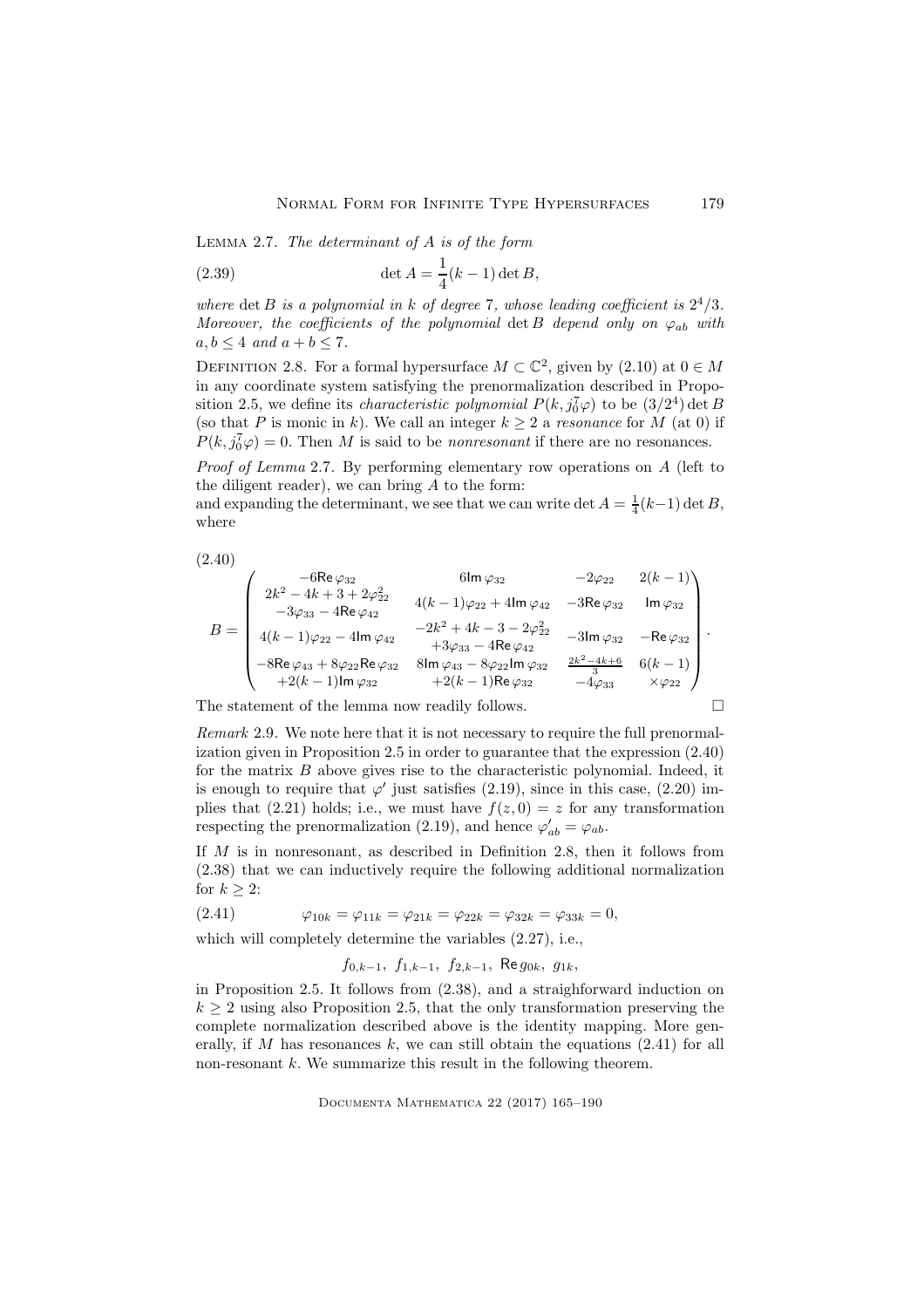LEMMA 2.7. The determinant of  $A$  is of the form

(2.39) 
$$
\det A = \frac{1}{4}(k-1)\det B,
$$

where det B is a polynomial in k of degree 7, whose leading coefficient is  $2^4/3$ . Moreover, the coefficients of the polynomial det B depend only on  $\varphi_{ab}$  with  $a, b \leq 4$  and  $a + b \leq 7$ .

DEFINITION 2.8. For a formal hypersurface  $M \subset \mathbb{C}^2$ , given by  $(2.10)$  at  $0 \in M$ in any coordinate system satisfying the prenormalization described in Proposition 2.5, we define its *characteristic polynomial*  $P(k, j_0^7 \varphi)$  to be  $(3/2^4)$  det B (so that P is monic in k). We call an integer  $k \geq 2$  a resonance for M (at 0) if  $P(k, j_0^7 \varphi) = 0$ . Then M is said to be *nonresonant* if there are no resonances.

Proof of Lemma 2.7. By performing elementary row operations on A (left to the diligent reader), we can bring  $A$  to the form:

and expanding the determinant, we see that we can write det  $A = \frac{1}{4}(k-1) \det B$ , where

$$
(2.40)
$$

$$
B = \begin{pmatrix} -6\text{Re}\,\varphi_{32} & 6\text{Im}\,\varphi_{32} & -2\varphi_{22} & 2(k-1) \\ 2k^2 - 4k + 3 + 2\varphi_{22}^2 & 4(k-1)\varphi_{22} + 4\text{Im}\,\varphi_{42} & -3\text{Re}\,\varphi_{32} & \text{Im}\,\varphi_{32} \\ -3\varphi_{33} - 4\text{Re}\,\varphi_{42} & -2k^2 + 4k - 3 - 2\varphi_{22}^2 & -3\text{Im}\,\varphi_{32} & -\text{Re}\,\varphi_{32} \\ 4(k-1)\varphi_{22} - 4\text{Im}\,\varphi_{42} & +3\varphi_{33} - 4\text{Re}\,\varphi_{42} & -3\text{Im}\,\varphi_{32} & -\text{Re}\,\varphi_{32} \\ -8\text{Re}\,\varphi_{43} + 8\varphi_{22}\text{Re}\,\varphi_{32} & 8\text{Im}\,\varphi_{43} - 8\varphi_{22}\text{Im}\,\varphi_{32} & \frac{2k^2 - 4k + 6}{3} & 6(k-1) \\ +2(k-1)\text{Im}\,\varphi_{32} & +2(k-1)\text{Re}\,\varphi_{32} & -4\varphi_{33} & \times\varphi_{22} \end{pmatrix}.
$$

The statement of the lemma now readily follows.

Remark 2.9. We note here that it is not necessary to require the full prenormalization given in Proposition 2.5 in order to guarantee that the expression (2.40) for the matrix  $B$  above gives rise to the characteristic polynomial. Indeed, it is enough to require that  $\varphi'$  just satisfies (2.19), since in this case, (2.20) implies that (2.21) holds; i.e., we must have  $f(z, 0) = z$  for any transformation respecting the prenormalization (2.19), and hence  $\varphi'_{ab} = \varphi_{ab}$ .

If M is in nonresonant, as described in Definition 2.8, then it follows from (2.38) that we can inductively require the following additional normalization for  $k \geq 2$ :

(2.41) 
$$
\varphi_{10k} = \varphi_{11k} = \varphi_{21k} = \varphi_{22k} = \varphi_{32k} = \varphi_{33k} = 0,
$$

which will completely determine the variables (2.27), i.e.,

$$
f_{0,k-1}
$$
,  $f_{1,k-1}$ ,  $f_{2,k-1}$ , Re  $g_{0k}$ ,  $g_{1k}$ ,

in Proposition 2.5. It follows from (2.38), and a straighforward induction on  $k \geq 2$  using also Proposition 2.5, that the only transformation preserving the complete normalization described above is the identity mapping. More generally, if M has resonances  $k$ , we can still obtain the equations  $(2.41)$  for all non-resonant  $k$ . We summarize this result in the following theorem.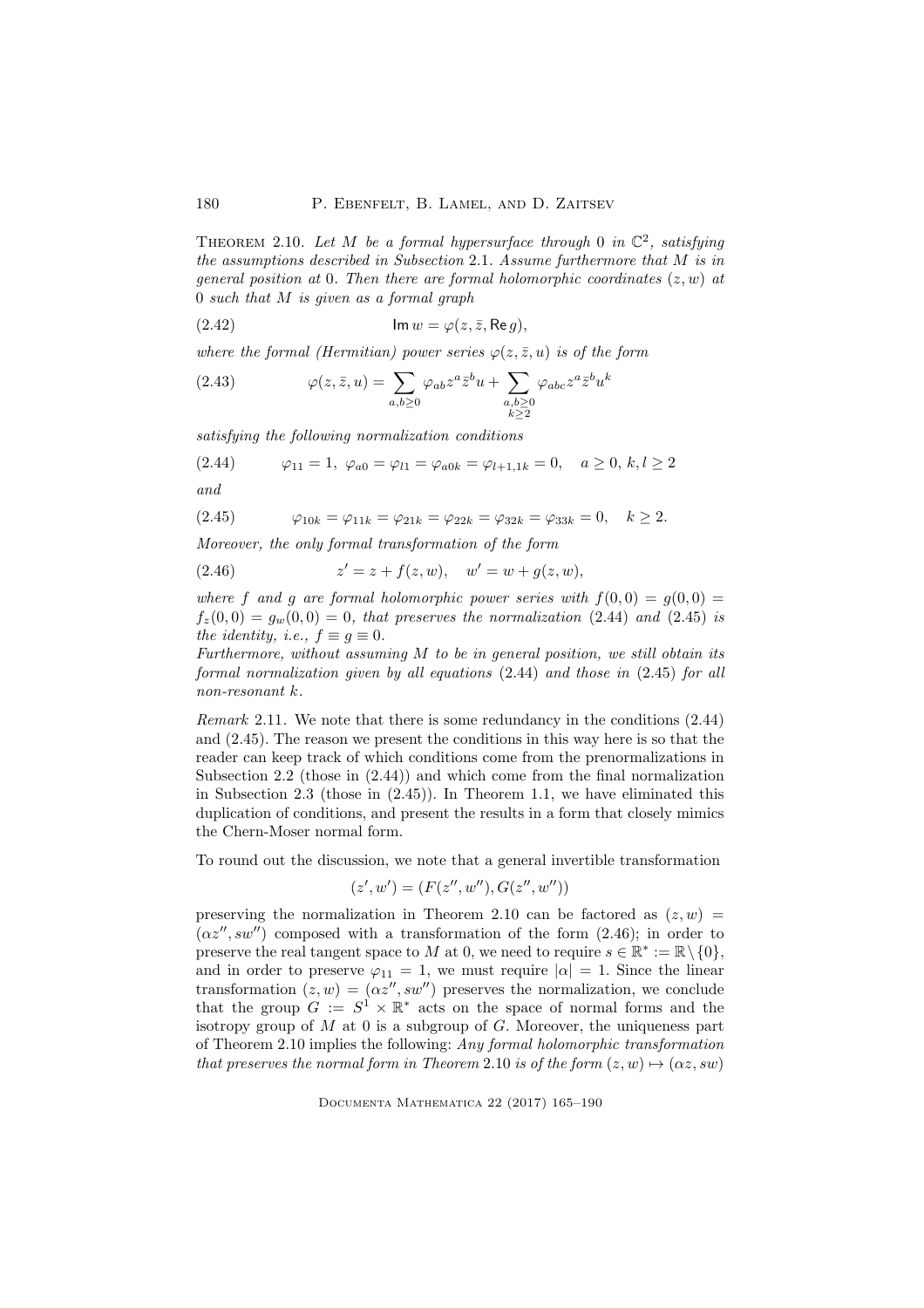THEOREM 2.10. Let M be a formal hypersurface through 0 in  $\mathbb{C}^2$ , satisfying the assumptions described in Subsection 2.1. Assume furthermore that M is in general position at 0. Then there are formal holomorphic coordinates  $(z, w)$  at 0 such that M is given as a formal graph

(2.42) Im w = ϕ(z, z, ¯ Re g),

where the formal (Hermitian) power series  $\varphi(z, \bar{z}, u)$  is of the form

(2.43) 
$$
\varphi(z,\bar{z},u) = \sum_{a,b \ge 0} \varphi_{ab} z^a \bar{z}^b u + \sum_{\substack{a,b \ge 0 \\ k \ge 2}} \varphi_{abc} z^a \bar{z}^b u^k
$$

satisfying the following normalization conditions

$$
(2.44) \qquad \varphi_{11} = 1, \ \varphi_{a0} = \varphi_{l1} = \varphi_{a0k} = \varphi_{l+1,1k} = 0, \quad a \ge 0, \ k, l \ge 2
$$

$$
and
$$

$$
(2.45) \t\varphi_{10k} = \varphi_{11k} = \varphi_{21k} = \varphi_{22k} = \varphi_{32k} = \varphi_{33k} = 0, \quad k \ge 2.
$$

Moreover, the only formal transformation of the form

(2.46) 
$$
z' = z + f(z, w), \quad w' = w + g(z, w),
$$

where f and g are formal holomorphic power series with  $f(0,0) = g(0,0) =$  $f_z(0,0) = g_w(0,0) = 0$ , that preserves the normalization (2.44) and (2.45) is the identity, i.e.,  $f \equiv g \equiv 0$ .

Furthermore, without assuming M to be in general position, we still obtain its formal normalization given by all equations (2.44) and those in (2.45) for all non-resonant k.

Remark 2.11. We note that there is some redundancy in the conditions (2.44) and (2.45). The reason we present the conditions in this way here is so that the reader can keep track of which conditions come from the prenormalizations in Subsection 2.2 (those in (2.44)) and which come from the final normalization in Subsection 2.3 (those in (2.45)). In Theorem 1.1, we have eliminated this duplication of conditions, and present the results in a form that closely mimics the Chern-Moser normal form.

To round out the discussion, we note that a general invertible transformation

$$
(z', w') = (F(z'', w''), G(z'', w''))
$$

preserving the normalization in Theorem 2.10 can be factored as  $(z, w)$  =  $(\alpha z'', sw'')$  composed with a transformation of the form  $(2.46)$ ; in order to preserve the real tangent space to M at 0, we need to require  $s \in \mathbb{R}^* := \mathbb{R} \setminus \{0\},\$ and in order to preserve  $\varphi_{11} = 1$ , we must require  $|\alpha| = 1$ . Since the linear transformation  $(z, w) = (\alpha z'', sw'')$  preserves the normalization, we conclude that the group  $G := S^1 \times \mathbb{R}^*$  acts on the space of normal forms and the isotropy group of  $M$  at  $0$  is a subgroup of  $G$ . Moreover, the uniqueness part of Theorem 2.10 implies the following: Any formal holomorphic transformation that preserves the normal form in Theorem 2.10 is of the form  $(z, w) \mapsto (\alpha z, s w)$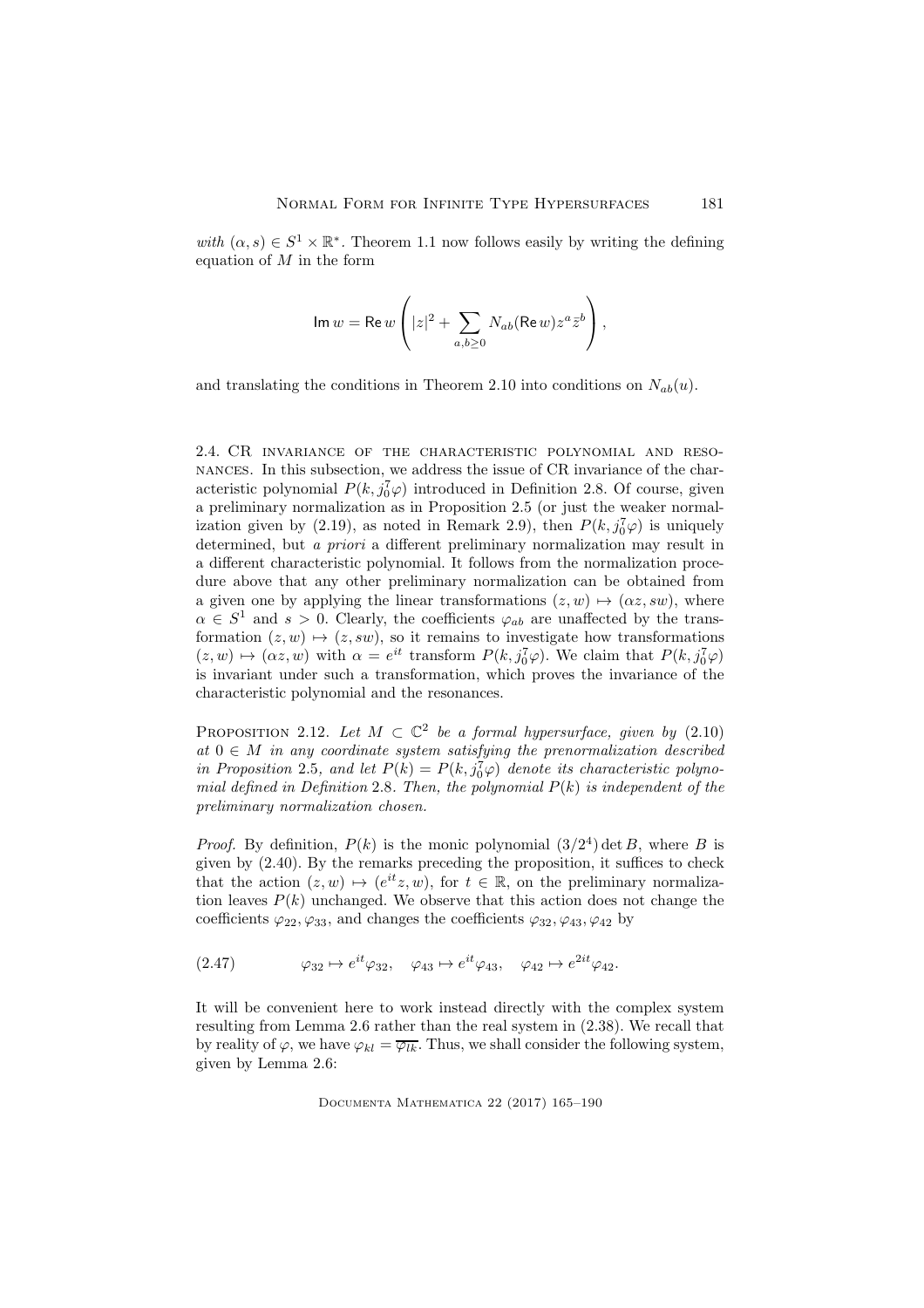with  $(\alpha, s) \in S^1 \times \mathbb{R}^*$ . Theorem 1.1 now follows easily by writing the defining equation of  $M$  in the form

$$
\text{Im } w = \text{Re } w \left( |z|^2 + \sum_{a,b \geq 0} N_{ab} (\text{Re } w) z^a \bar{z}^b \right),
$$

and translating the conditions in Theorem 2.10 into conditions on  $N_{ab}(u)$ .

2.4. CR invariance of the characteristic polynomial and resonances. In this subsection, we address the issue of CR invariance of the characteristic polynomial  $P(k, j_0^T \varphi)$  introduced in Definition 2.8. Of course, given a preliminary normalization as in Proposition 2.5 (or just the weaker normalization given by (2.19), as noted in Remark 2.9), then  $P(k, j_0^7 \varphi)$  is uniquely determined, but a priori a different preliminary normalization may result in a different characteristic polynomial. It follows from the normalization procedure above that any other preliminary normalization can be obtained from a given one by applying the linear transformations  $(z, w) \mapsto (\alpha z, sw)$ , where  $\alpha \in S^1$  and  $s > 0$ . Clearly, the coefficients  $\varphi_{ab}$  are unaffected by the transformation  $(z, w) \mapsto (z, sw)$ , so it remains to investigate how transformations  $(z, w) \mapsto (\alpha z, w)$  with  $\alpha = e^{it}$  transform  $P(k, j_0^7 \varphi)$ . We claim that  $P(k, j_0^7 \varphi)$ is invariant under such a transformation, which proves the invariance of the characteristic polynomial and the resonances.

PROPOSITION 2.12. Let  $M \subset \mathbb{C}^2$  be a formal hypersurface, given by (2.10) at  $0 \in M$  in any coordinate system satisfying the prenormalization described in Proposition 2.5, and let  $P(k) = P(k, j_0^7 \varphi)$  denote its characteristic polynomial defined in Definition 2.8. Then, the polynomial  $P(k)$  is independent of the preliminary normalization chosen.

*Proof.* By definition,  $P(k)$  is the monic polynomial  $(3/2<sup>4</sup>)$  det B, where B is given by (2.40). By the remarks preceding the proposition, it suffices to check that the action  $(z, w) \mapsto (e^{it}z, w)$ , for  $t \in \mathbb{R}$ , on the preliminary normalization leaves  $P(k)$  unchanged. We observe that this action does not change the coefficients  $\varphi_{22}, \varphi_{33}$ , and changes the coefficients  $\varphi_{32}, \varphi_{43}, \varphi_{42}$  by

 $(2.47)$   $\varphi_{32} \mapsto e^{it}\varphi_{32}, \quad \varphi_{43} \mapsto e^{it}\varphi_{43}, \quad \varphi_{42} \mapsto e^{2it}\varphi_{42}.$ 

It will be convenient here to work instead directly with the complex system resulting from Lemma 2.6 rather than the real system in (2.38). We recall that by reality of  $\varphi$ , we have  $\varphi_{kl} = \overline{\varphi_{lk}}$ . Thus, we shall consider the following system, given by Lemma 2.6: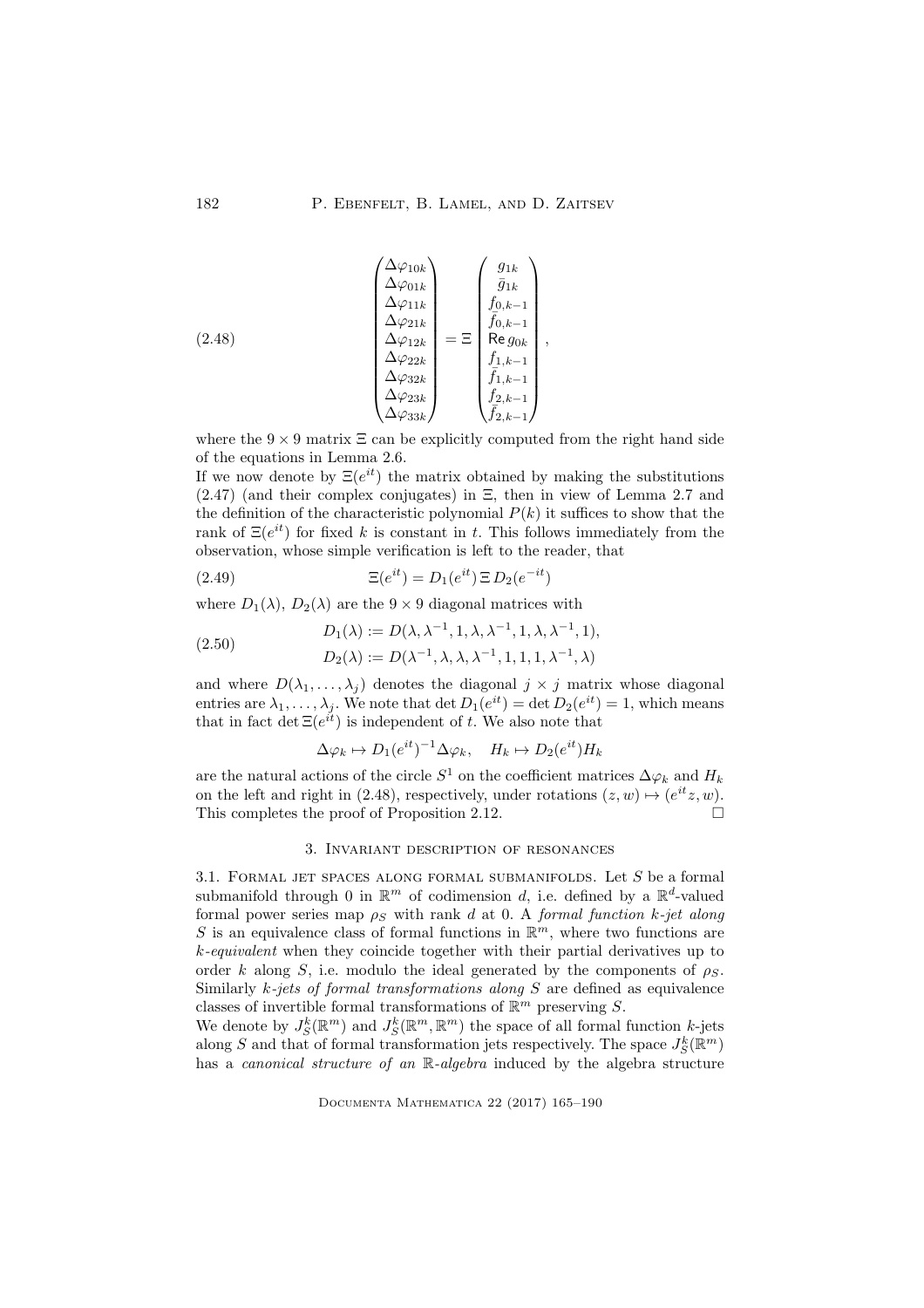(2.48)  
\n
$$
\begin{pmatrix}\n\Delta \varphi_{10k} \\
\Delta \varphi_{01k} \\
\Delta \varphi_{11k} \\
\Delta \varphi_{21k} \\
\Delta \varphi_{22k} \\
\Delta \varphi_{32k} \\
\Delta \varphi_{33k}\n\end{pmatrix} = \Xi \begin{pmatrix}\ng_{1k} \\
\bar{g}_{1k} \\
f_{0,k-1} \\
\bar{f}_{0,k-1} \\
\bar{h}_{0,k-1} \\
\bar{h}_{0,k-1} \\
\bar{h}_{0,k-1} \\
\bar{h}_{1,k-1} \\
\bar{f}_{1,k-1} \\
\bar{f}_{2,k-1}\n\end{pmatrix},
$$

where the  $9 \times 9$  matrix  $\Xi$  can be explicitly computed from the right hand side of the equations in Lemma 2.6.

If we now denote by  $\Xi(e^{it})$  the matrix obtained by making the substitutions  $(2.47)$  (and their complex conjugates) in  $\Xi$ , then in view of Lemma 2.7 and the definition of the characteristic polynomial  $P(k)$  it suffices to show that the rank of  $\Xi(e^{it})$  for fixed k is constant in t. This follows immediately from the observation, whose simple verification is left to the reader, that

(2.49) 
$$
\Xi(e^{it}) = D_1(e^{it}) \Xi D_2(e^{-it})
$$

where  $D_1(\lambda)$ ,  $D_2(\lambda)$  are the  $9 \times 9$  diagonal matrices with

(2.50)  
\n
$$
D_1(\lambda) := D(\lambda, \lambda^{-1}, 1, \lambda, \lambda^{-1}, 1, \lambda, \lambda^{-1}, 1),
$$
\n
$$
D_2(\lambda) := D(\lambda^{-1}, \lambda, \lambda, \lambda^{-1}, 1, 1, 1, \lambda^{-1}, \lambda)
$$

and where  $D(\lambda_1, \ldots, \lambda_j)$  denotes the diagonal  $j \times j$  matrix whose diagonal entries are  $\lambda_1, \ldots, \lambda_j$ . We note that  $\det D_1(e^{it}) = \det D_2(e^{it}) = 1$ , which means that in fact det  $\Xi(e^{it})$  is independent of t. We also note that

$$
\Delta \varphi_k \mapsto D_1(e^{it})^{-1} \Delta \varphi_k, \quad H_k \mapsto D_2(e^{it}) H_k
$$

are the natural actions of the circle  $S^1$  on the coefficient matrices  $\Delta \varphi_k$  and  $H_k$ on the left and right in (2.48), respectively, under rotations  $(z, w) \mapsto (e^{it}z, w)$ . This completes the proof of Proposition 2.12.

# 3. Invariant description of resonances

3.1. FORMAL JET SPACES ALONG FORMAL SUBMANIFOLDS. Let  $S$  be a formal submanifold through 0 in  $\mathbb{R}^m$  of codimension d, i.e. defined by a  $\mathbb{R}^d$ -valued formal power series map  $\rho_S$  with rank d at 0. A formal function k-jet along S is an equivalence class of formal functions in  $\mathbb{R}^m$ , where two functions are k-equivalent when they coincide together with their partial derivatives up to order k along S, i.e. modulo the ideal generated by the components of  $\rho_s$ . Similarly  $k$ -jets of formal transformations along  $S$  are defined as equivalence classes of invertible formal transformations of  $\mathbb{R}^m$  preserving S.

We denote by  $J_S^k(\mathbb{R}^m)$  and  $J_S^k(\mathbb{R}^m, \mathbb{R}^m)$  the space of all formal function k-jets along S and that of formal transformation jets respectively. The space  $J_S^k(\mathbb{R}^m)$ has a *canonical structure of an*  $\mathbb{R}$ -*algebra* induced by the algebra structure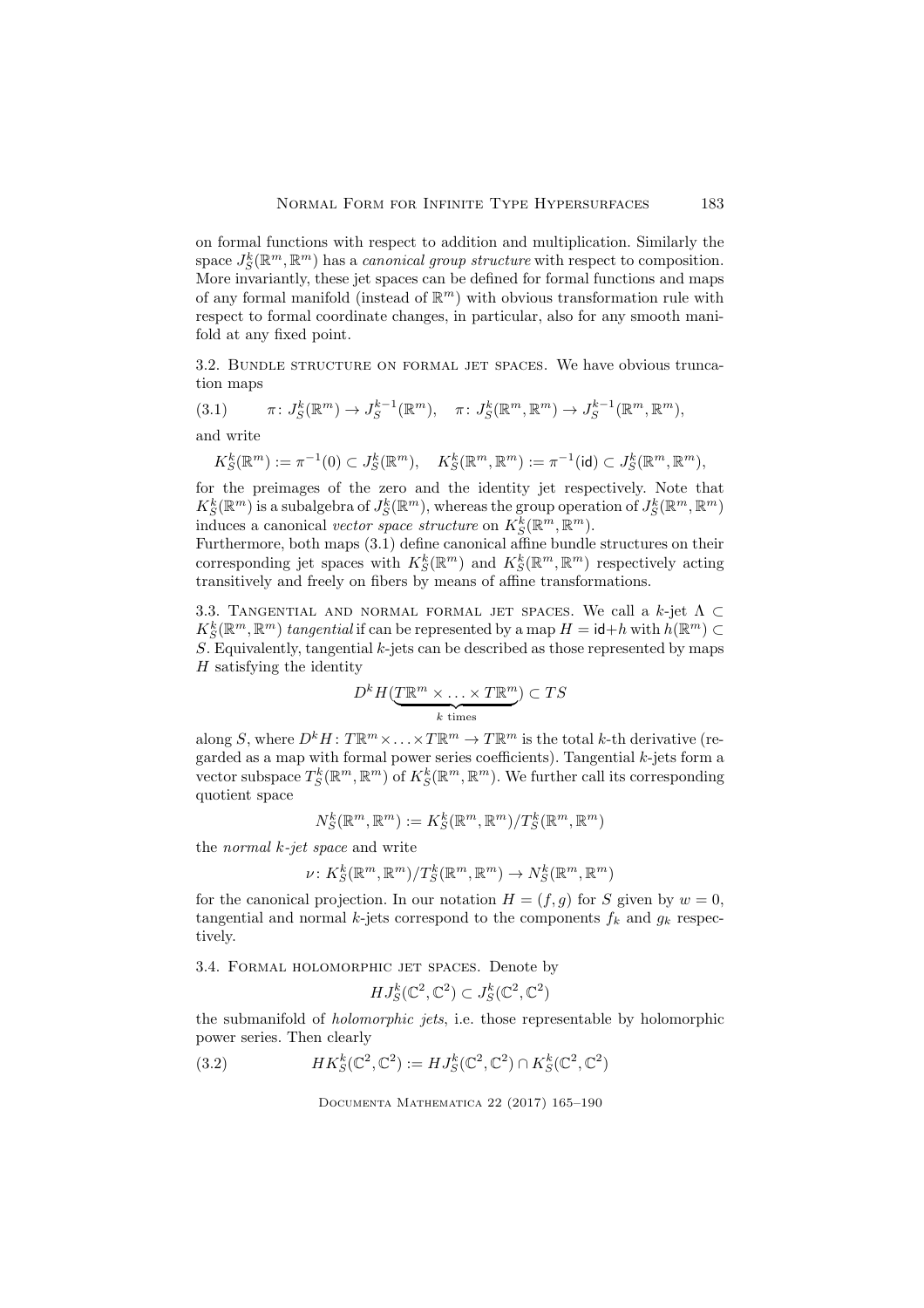on formal functions with respect to addition and multiplication. Similarly the space  $J_S^k(\mathbb{R}^m, \mathbb{R}^m)$  has a *canonical group structure* with respect to composition. More invariantly, these jet spaces can be defined for formal functions and maps of any formal manifold (instead of  $\mathbb{R}^m$ ) with obvious transformation rule with respect to formal coordinate changes, in particular, also for any smooth manifold at any fixed point.

3.2. Bundle structure on formal jet spaces. We have obvious truncation maps

(3.1) 
$$
\pi: J_S^k(\mathbb{R}^m) \to J_S^{k-1}(\mathbb{R}^m)
$$
,  $\pi: J_S^k(\mathbb{R}^m, \mathbb{R}^m) \to J_S^{k-1}(\mathbb{R}^m, \mathbb{R}^m)$ ,  
and write

$$
K_S^k({\mathbb R}^m):=\pi^{-1}(0)\subset J_S^k({\mathbb R}^m),\quad K_S^k({\mathbb R}^m,{\mathbb R}^m):=\pi^{-1}({\rm id})\subset J_S^k({\mathbb R}^m,{\mathbb R}^m),
$$

for the preimages of the zero and the identity jet respectively. Note that  $K_S^k(\mathbb{R}^m)$  is a subalgebra of  $J_S^k(\mathbb{R}^m)$ , whereas the group operation of  $J_S^k(\mathbb{R}^m,\mathbb{R}^m)$ induces a canonical vector space structure on  $K_S^k(\mathbb{R}^m, \mathbb{R}^m)$ .

Furthermore, both maps (3.1) define canonical affine bundle structures on their corresponding jet spaces with  $K_S^k(\mathbb{R}^m)$  and  $K_S^k(\mathbb{R}^m, \mathbb{R}^m)$  respectively acting transitively and freely on fibers by means of affine transformations.

3.3. TANGENTIAL AND NORMAL FORMAL JET SPACES. We call a k-jet  $\Lambda \subset$  $K_S^k(\mathbb{R}^m,\mathbb{R}^m)$  tangential if can be represented by a map  $H = id + h$  with  $h(\mathbb{R}^m) \subset$ S. Equivalently, tangential  $k$ -jets can be described as those represented by maps  $H$  satisfying the identity

$$
D^k H(\underbrace{T\mathbb{R}^m\times\ldots\times T\mathbb{R}^m}_{k \text{ times}})\subset TS
$$

along S, where  $D^k H: T \mathbb{R}^m \times \ldots \times T \mathbb{R}^m \to T \mathbb{R}^m$  is the total k-th derivative (regarded as a map with formal power series coefficients). Tangential  $k$ -jets form a vector subspace  $T_S^k(\mathbb{R}^m, \mathbb{R}^m)$  of  $K_S^k(\mathbb{R}^m, \mathbb{R}^m)$ . We further call its corresponding quotient space

$$
N_S^k(\mathbb{R}^m,\mathbb{R}^m):=K_S^k(\mathbb{R}^m,\mathbb{R}^m)/T_S^k(\mathbb{R}^m,\mathbb{R}^m)
$$

the normal k-jet space and write

$$
\nu: K_S^k(\mathbb{R}^m, \mathbb{R}^m)/T_S^k(\mathbb{R}^m, \mathbb{R}^m) \to N_S^k(\mathbb{R}^m, \mathbb{R}^m)
$$

for the canonical projection. In our notation  $H = (f, g)$  for S given by  $w = 0$ , tangential and normal k-jets correspond to the components  $f_k$  and  $g_k$  respectively.

3.4. Formal holomorphic jet spaces. Denote by

$$
HJ_S^k(\mathbb{C}^2,\mathbb{C}^2) \subset J_S^k(\mathbb{C}^2,\mathbb{C}^2)
$$

the submanifold of holomorphic jets, i.e. those representable by holomorphic power series. Then clearly

(3.2) 
$$
HK_S^k(\mathbb{C}^2, \mathbb{C}^2) := HJ_S^k(\mathbb{C}^2, \mathbb{C}^2) \cap K_S^k(\mathbb{C}^2, \mathbb{C}^2)
$$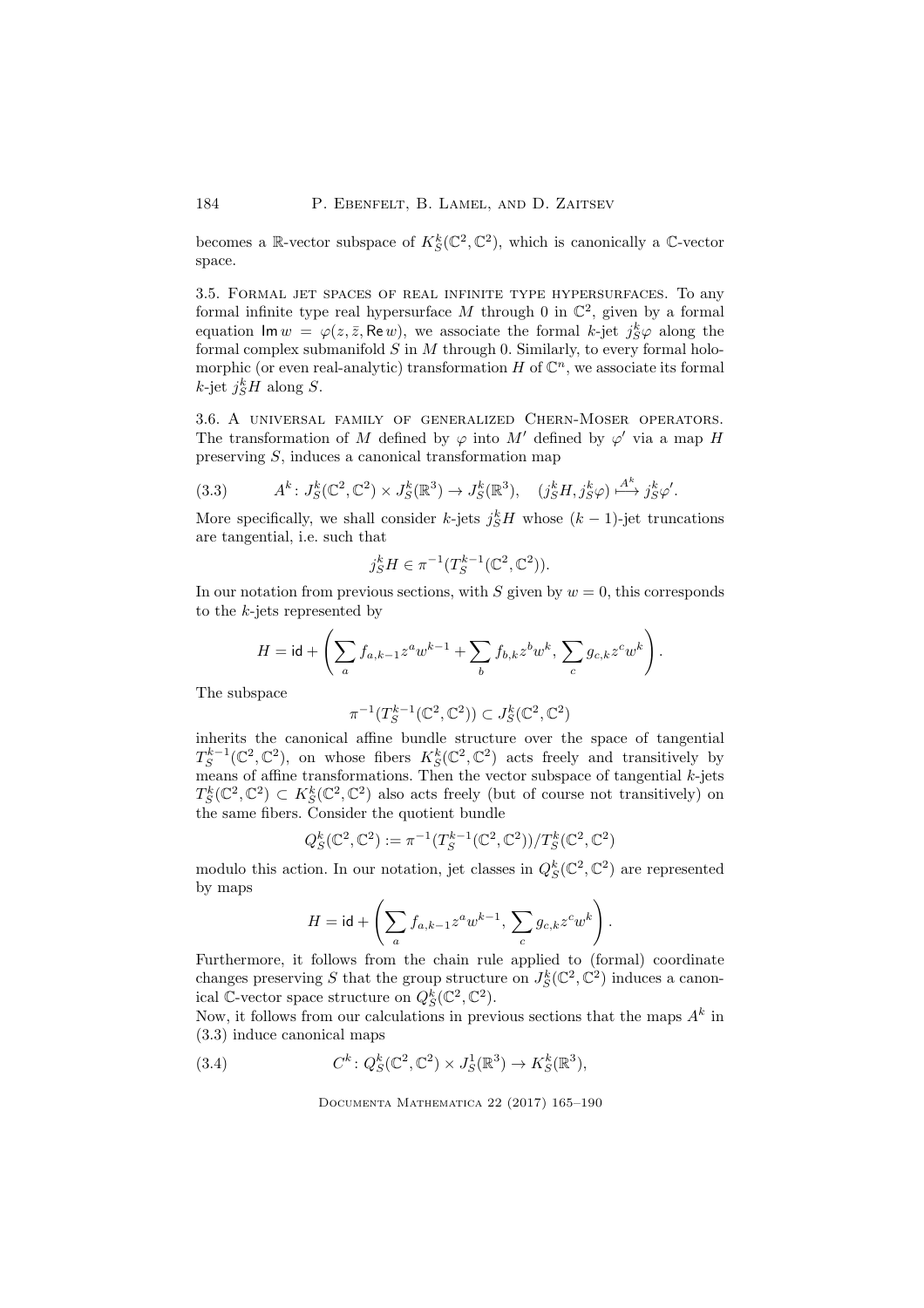becomes a R-vector subspace of  $K_S^k(\mathbb{C}^2,\mathbb{C}^2)$ , which is canonically a C-vector space.

3.5. Formal jet spaces of real infinite type hypersurfaces. To any formal infinite type real hypersurface M through 0 in  $\mathbb{C}^2$ , given by a formal equation  $\mathsf{Im} \, w = \varphi(z, \bar{z}, \mathsf{Re} \, w)$ , we associate the formal k-jet  $j_S^k \varphi$  along the formal complex submanifold  $\ddot{S}$  in  $M$  through 0. Similarly, to every formal holomorphic (or even real-analytic) transformation  $H$  of  $\mathbb{C}^n$ , we associate its formal  $k$ -jet  $j_S^k H$  along S.

3.6. A universal family of generalized Chern-Moser operators. The transformation of M defined by  $\varphi$  into M' defined by  $\varphi'$  via a map H preserving S, induces a canonical transformation map

(3.3) 
$$
A^k: J_S^k(\mathbb{C}^2, \mathbb{C}^2) \times J_S^k(\mathbb{R}^3) \to J_S^k(\mathbb{R}^3), \quad (j_S^k H, j_S^k \varphi) \stackrel{A^k}{\longrightarrow} j_S^k \varphi'.
$$

More specifically, we shall consider k-jets  $j_S^k H$  whose  $(k-1)$ -jet truncations are tangential, i.e. such that

$$
j_S^k H \in \pi^{-1}(T_S^{k-1}(\mathbb{C}^2, \mathbb{C}^2)).
$$

In our notation from previous sections, with S given by  $w = 0$ , this corresponds to the k-jets represented by

$$
H = \mathsf{id} + \left(\sum_a f_{a,k-1} z^a w^{k-1} + \sum_b f_{b,k} z^b w^k, \sum_c g_{c,k} z^c w^k\right).
$$

The subspace

$$
\pi^{-1}(T_S^{k-1}(\mathbb{C}^2,\mathbb{C}^2))\subset J_S^k(\mathbb{C}^2,\mathbb{C}^2)
$$

inherits the canonical affine bundle structure over the space of tangential  $T_S^{k-1}(\mathbb{C}^2,\mathbb{C}^2)$ , on whose fibers  $K_S^k(\mathbb{C}^2,\mathbb{C}^2)$  acts freely and transitively by means of affine transformations. Then the vector subspace of tangential k-jets  $T_S^k(\mathbb{C}^2, \mathbb{C}^2) \subset K_S^k(\mathbb{C}^2, \mathbb{C}^2)$  also acts freely (but of course not transitively) on the same fibers. Consider the quotient bundle

$$
Q_S^k(\mathbb{C}^2,\mathbb{C}^2):=\pi^{-1}(T_S^{k-1}(\mathbb{C}^2,\mathbb{C}^2))/T_S^k(\mathbb{C}^2,\mathbb{C}^2)
$$

modulo this action. In our notation, jet classes in  $Q_S^k(\mathbb{C}^2, \mathbb{C}^2)$  are represented by maps

$$
H = \mathsf{id} + \left(\sum_a f_{a,k-1} z^a w^{k-1}, \sum_c g_{c,k} z^c w^k\right).
$$

Furthermore, it follows from the chain rule applied to (formal) coordinate changes preserving S that the group structure on  $J_S^k(\mathbb{C}^2, \mathbb{C}^2)$  induces a canonical C-vector space structure on  $Q_S^k(\mathbb{C}^2,\mathbb{C}^2)$ .

Now, it follows from our calculations in previous sections that the maps  $A^k$  in (3.3) induce canonical maps

(3.4) 
$$
C^k \colon Q_S^k(\mathbb{C}^2, \mathbb{C}^2) \times J_S^1(\mathbb{R}^3) \to K_S^k(\mathbb{R}^3),
$$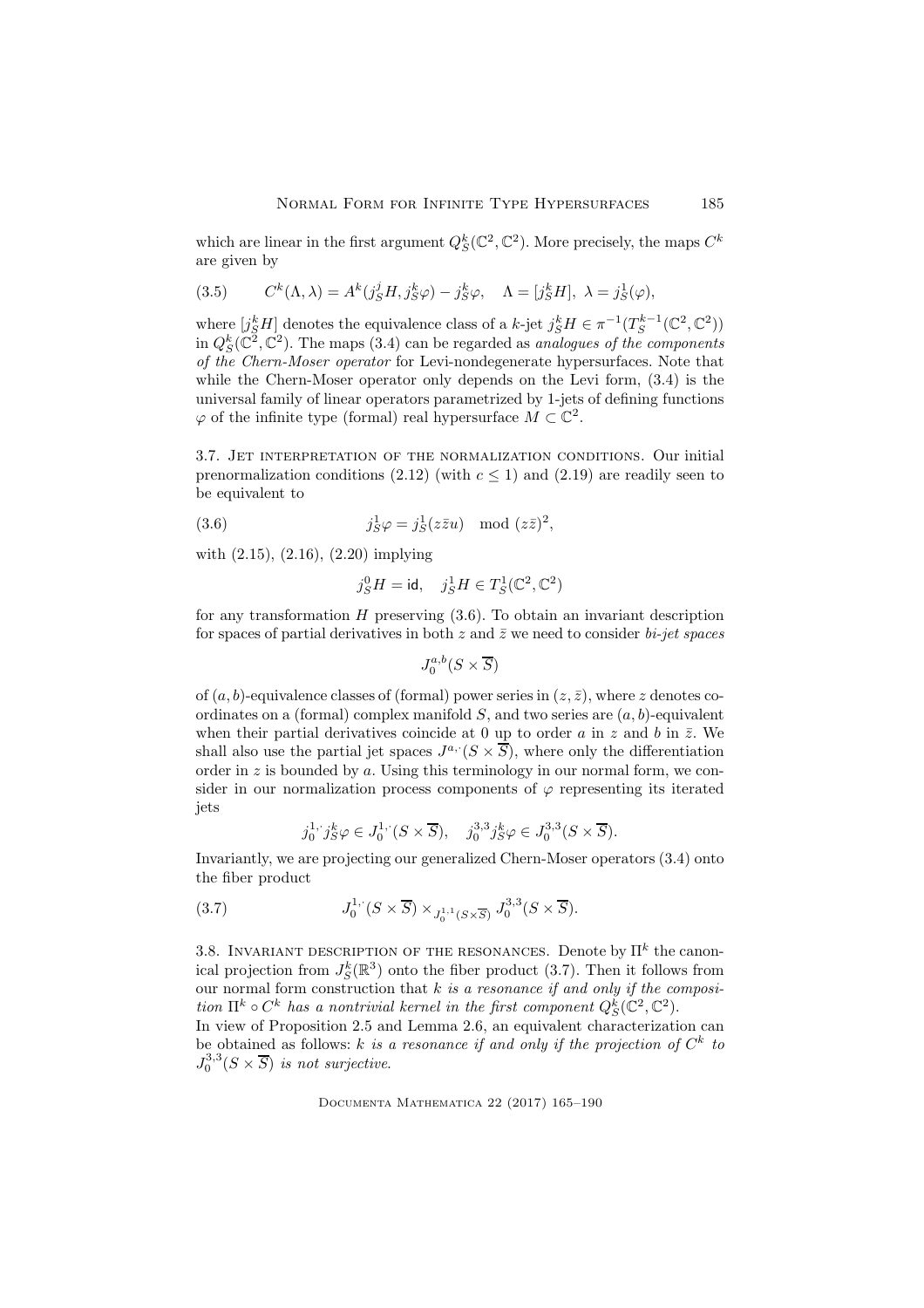which are linear in the first argument  $Q_S^k(\mathbb{C}^2, \mathbb{C}^2)$ . More precisely, the maps  $C^k$ are given by

(3.5) 
$$
C^{k}(\Lambda, \lambda) = A^{k}(j_{S}^{j}H, j_{S}^{k}\varphi) - j_{S}^{k}\varphi, \quad \Lambda = [j_{S}^{k}H], \ \lambda = j_{S}^{1}(\varphi),
$$

where  $[j_S^k H]$  denotes the equivalence class of a k-jet  $j_S^k H \in \pi^{-1}(T_S^{k-1}(\mathbb{C}^2, \mathbb{C}^2))$ in  $Q_S^k(\mathbb{C}^2, \mathbb{C}^2)$ . The maps (3.4) can be regarded as *analogues of the components* of the Chern-Moser operator for Levi-nondegenerate hypersurfaces. Note that while the Chern-Moser operator only depends on the Levi form, (3.4) is the universal family of linear operators parametrized by 1-jets of defining functions  $\varphi$  of the infinite type (formal) real hypersurface  $M \subset \mathbb{C}^2$ .

3.7. Jet interpretation of the normalization conditions. Our initial prenormalization conditions (2.12) (with  $c < 1$ ) and (2.19) are readily seen to be equivalent to

(3.6) 
$$
j_S^1 \varphi = j_S^1 (z \overline{z} u) \mod (z \overline{z})^2,
$$

with (2.15), (2.16), (2.20) implying

$$
j^0_S H = \mathrm{id}, \quad j^1_S H \in T^1_S(\mathbb{C}^2, \mathbb{C}^2)
$$

for any transformation  $H$  preserving  $(3.6)$ . To obtain an invariant description for spaces of partial derivatives in both z and  $\bar{z}$  we need to consider *bi-jet spaces* 

$$
J_0^{a,b}(S \times \overline{S})
$$

of  $(a, b)$ -equivalence classes of (formal) power series in  $(z, \bar{z})$ , where z denotes coordinates on a (formal) complex manifold  $S$ , and two series are  $(a, b)$ -equivalent when their partial derivatives coincide at 0 up to order a in z and b in  $\bar{z}$ . We shall also use the partial jet spaces  $J^{a}$   $(S \times \overline{S})$ , where only the differentiation order in  $z$  is bounded by  $a$ . Using this terminology in our normal form, we consider in our normalization process components of  $\varphi$  representing its iterated jets

$$
j_0^{1, j} g^k \varphi \in J_0^{1, (S \times \overline{S}), \quad j_0^{3,3} j_S^k \varphi \in J_0^{3,3}(S \times \overline{S}).
$$

Invariantly, we are projecting our generalized Chern-Moser operators (3.4) onto the fiber product

(3.7) 
$$
J_0^{1, \cdot}(S \times \overline{S}) \times_{J_0^{1, 1}(S \times \overline{S})} J_0^{3, 3}(S \times \overline{S}).
$$

3.8. INVARIANT DESCRIPTION OF THE RESONANCES. Denote by  $\Pi^k$  the canonical projection from  $J_S^k(\mathbb{R}^3)$  onto the fiber product (3.7). Then it follows from our normal form construction that  $k$  is a resonance if and only if the composition  $\Pi^k \circ C^k$  has a nontrivial kernel in the first component  $Q_S^k(\mathbb{C}^2, \mathbb{C}^2)$ .

In view of Proposition 2.5 and Lemma 2.6, an equivalent characterization can be obtained as follows: k is a resonance if and only if the projection of  $C^k$  to  $J_0^{3,3}(S \times \overline{S})$  is not surjective.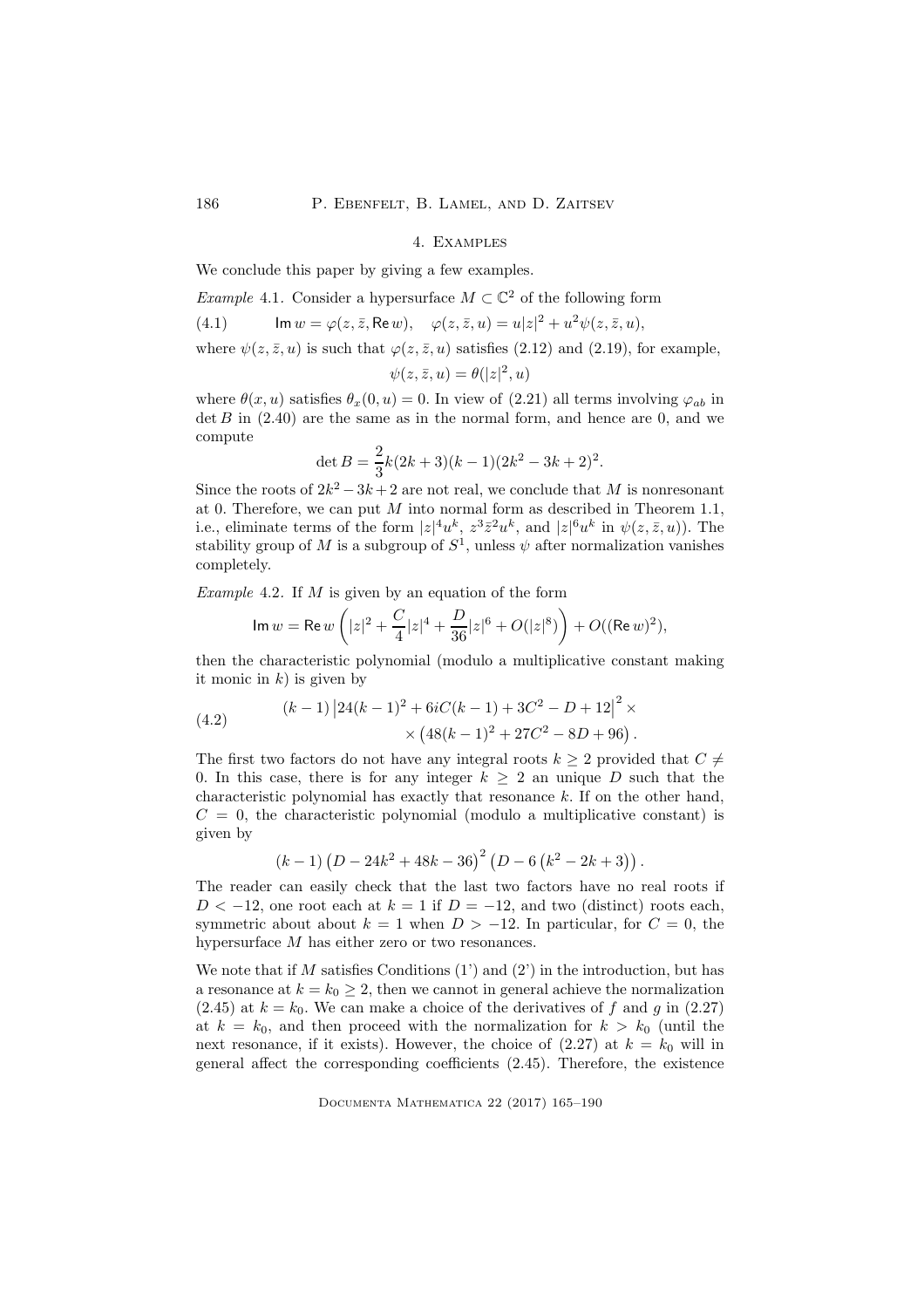### 4. Examples

We conclude this paper by giving a few examples.

*Example* 4.1. Consider a hypersurface 
$$
M \subset \mathbb{C}^2
$$
 of the following form

(4.1) 
$$
\operatorname{Im} w = \varphi(z, \bar{z}, \operatorname{Re} w), \quad \varphi(z, \bar{z}, u) = u|z|^2 + u^2 \psi(z, \bar{z}, u),
$$

where 
$$
\psi(z, \bar{z}, u)
$$
 is such that  $\varphi(z, \bar{z}, u)$  satisfies (2.12) and (2.19), for example,  

$$
\psi(z, \bar{z}, u) = \theta(|z|^2, u)
$$

where  $\theta(x, u)$  satisfies  $\theta_x(0, u) = 0$ . In view of (2.21) all terms involving  $\varphi_{ab}$  in  $\det B$  in (2.40) are the same as in the normal form, and hence are 0, and we compute

$$
\det B = \frac{2}{3}k(2k+3)(k-1)(2k^2 - 3k + 2)^2.
$$

Since the roots of  $2k^2 - 3k + 2$  are not real, we conclude that M is nonresonant at 0. Therefore, we can put  $M$  into normal form as described in Theorem 1.1, i.e., eliminate terms of the form  $|z|^4 u^k$ ,  $z^3 \bar{z}^2 u^k$ , and  $|z|^6 u^k$  in  $\psi(z, \bar{z}, u)$ ). The stability group of M is a subgroup of  $S^1$ , unless  $\psi$  after normalization vanishes completely.

Example 4.2. If  $M$  is given by an equation of the form

$$
\text{Im } w = \text{Re } w \left( |z|^2 + \frac{C}{4} |z|^4 + \frac{D}{36} |z|^6 + O(|z|^8) \right) + O((\text{Re } w)^2),
$$

then the characteristic polynomial (modulo a multiplicative constant making it monic in  $k$ ) is given by

(4.2) 
$$
(k-1) \left| 24(k-1)^2 + 6iC(k-1) + 3C^2 - D + 12 \right|^2 \times \\ \times \left( 48(k-1)^2 + 27C^2 - 8D + 96 \right).
$$

The first two factors do not have any integral roots  $k \geq 2$  provided that  $C \neq$ 0. In this case, there is for any integer  $k \geq 2$  an unique D such that the characteristic polynomial has exactly that resonance k. If on the other hand,  $C = 0$ , the characteristic polynomial (modulo a multiplicative constant) is given by

$$
(k-1)(D-24k^{2}+48k-36)^{2}(D-6(k^{2}-2k+3))
$$
.

The reader can easily check that the last two factors have no real roots if  $D < -12$ , one root each at  $k = 1$  if  $D = -12$ , and two (distinct) roots each, symmetric about about  $k = 1$  when  $D > -12$ . In particular, for  $C = 0$ , the hypersurface M has either zero or two resonances.

We note that if M satisfies Conditions  $(1')$  and  $(2')$  in the introduction, but has a resonance at  $k = k_0 \geq 2$ , then we cannot in general achieve the normalization  $(2.45)$  at  $k = k_0$ . We can make a choice of the derivatives of f and g in  $(2.27)$ at  $k = k_0$ , and then proceed with the normalization for  $k > k_0$  (until the next resonance, if it exists). However, the choice of  $(2.27)$  at  $k = k_0$  will in general affect the corresponding coefficients (2.45). Therefore, the existence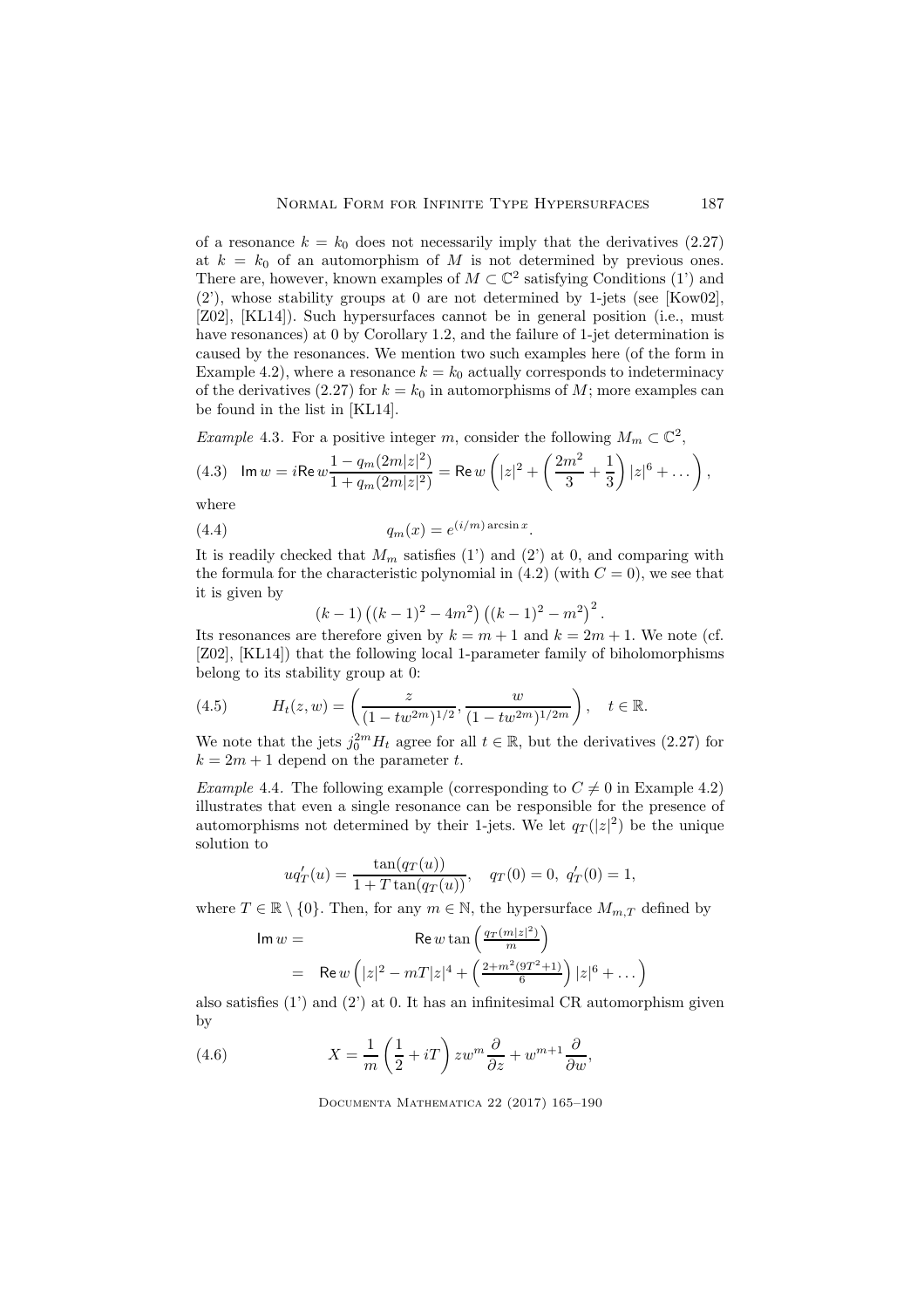of a resonance  $k = k_0$  does not necessarily imply that the derivatives (2.27) at  $k = k_0$  of an automorphism of M is not determined by previous ones. There are, however, known examples of  $M \subset \mathbb{C}^2$  satisfying Conditions (1') and (2'), whose stability groups at 0 are not determined by 1-jets (see [Kow02], [Z02], [KL14]). Such hypersurfaces cannot be in general position (i.e., must have resonances) at 0 by Corollary 1.2, and the failure of 1-jet determination is caused by the resonances. We mention two such examples here (of the form in Example 4.2), where a resonance  $k = k_0$  actually corresponds to indeterminacy of the derivatives (2.27) for  $k = k_0$  in automorphisms of M; more examples can be found in the list in [KL14].

*Example 4.3.* For a positive integer 
$$
m
$$
, consider the following  $M_m \subset \mathbb{C}^2$ ,  
(4.3)  $\operatorname{Im} w = i \operatorname{Re} w \frac{1 - q_m (2m|z|^2)}{1 + q_m (2m|z|^2)} = \operatorname{Re} w \left( |z|^2 + \left( \frac{2m^2}{3} + \frac{1}{3} \right) |z|^6 + \dots \right)$ ,

where

(4.4) 
$$
q_m(x) = e^{(i/m)\arcsin x}.
$$

It is readily checked that  $M_m$  satisfies (1') and (2') at 0, and comparing with the formula for the characteristic polynomial in  $(4.2)$  (with  $C = 0$ ), we see that it is given by

$$
(k-1) ((k-1)2 – 4m2) ((k-1)2 – m2)2
$$
.

Its resonances are therefore given by  $k = m + 1$  and  $k = 2m + 1$ . We note (cf. [Z02], [KL14]) that the following local 1-parameter family of biholomorphisms belong to its stability group at 0:

(4.5) 
$$
H_t(z, w) = \left(\frac{z}{(1 - tw^{2m})^{1/2}}, \frac{w}{(1 - tw^{2m})^{1/2m}}\right), \quad t \in \mathbb{R}.
$$

We note that the jets  $j_0^{2m} H_t$  agree for all  $t \in \mathbb{R}$ , but the derivatives (2.27) for  $k = 2m + 1$  depend on the parameter t.

*Example 4.4.* The following example (corresponding to  $C \neq 0$  in Example 4.2) illustrates that even a single resonance can be responsible for the presence of automorphisms not determined by their 1-jets. We let  $q_T(|z|^2)$  be the unique solution to

$$
uq'_T(u) = \frac{\tan(q_T(u))}{1 + T \tan(q_T(u))}, \quad q_T(0) = 0, \ q'_T(0) = 1,
$$

where  $T \in \mathbb{R} \setminus \{0\}$ . Then, for any  $m \in \mathbb{N}$ , the hypersurface  $M_{m,T}$  defined by

$$
\begin{aligned} \text{Im } w &= \qquad \qquad \text{Re } w \tan \left( \frac{q_T (m|z|^2)}{m} \right) \\ &= \quad \text{Re } w \left( |z|^2 - mT|z|^4 + \left( \frac{2 + m^2 (9T^2 + 1)}{6} \right) |z|^6 + \dots \right) \end{aligned}
$$

also satisfies  $(1')$  and  $(2')$  at 0. It has an infinitesimal CR automorphism given by

(4.6) 
$$
X = \frac{1}{m} \left( \frac{1}{2} + iT \right) z w^m \frac{\partial}{\partial z} + w^{m+1} \frac{\partial}{\partial w},
$$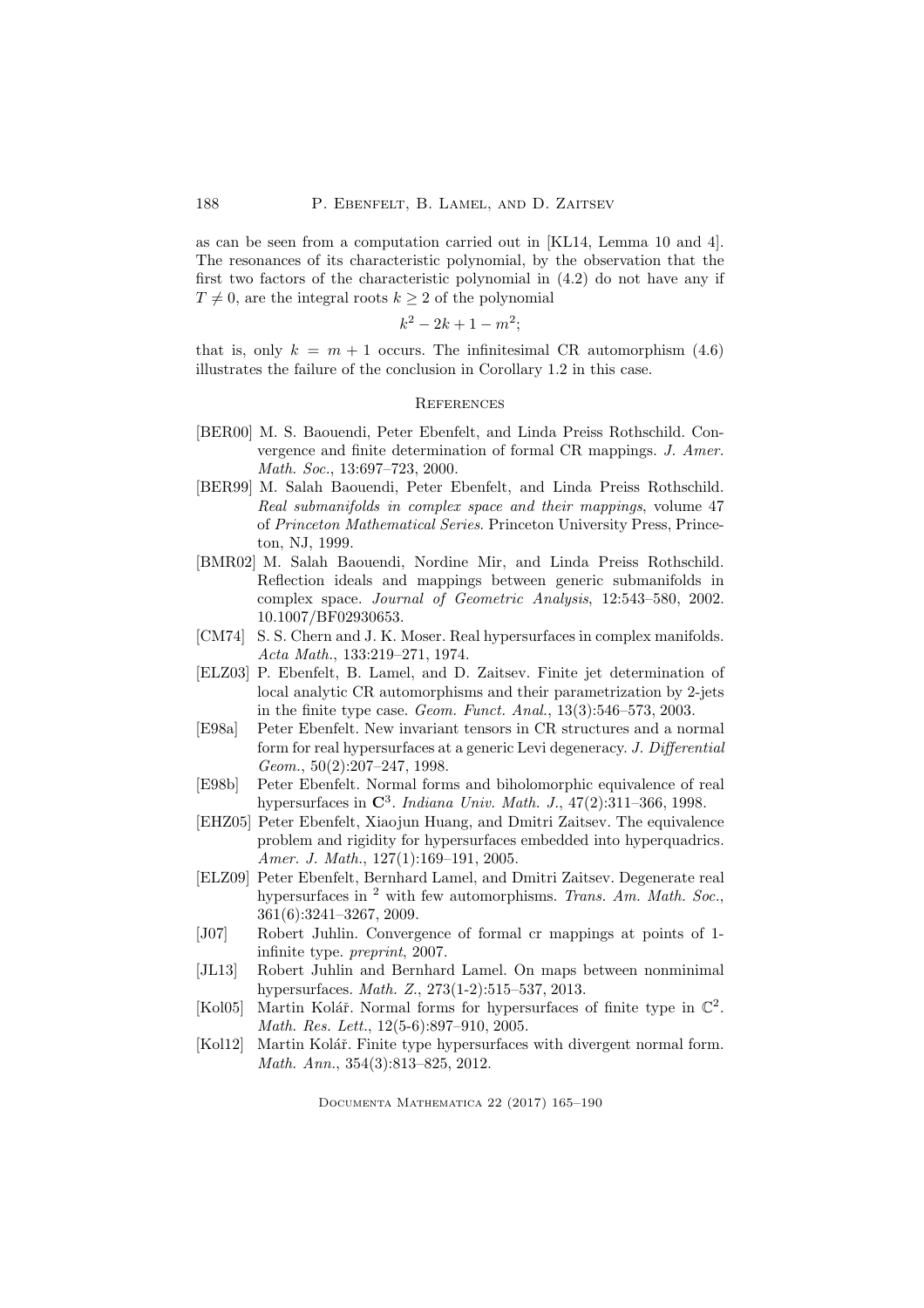as can be seen from a computation carried out in [KL14, Lemma 10 and 4]. The resonances of its characteristic polynomial, by the observation that the first two factors of the characteristic polynomial in (4.2) do not have any if  $T \neq 0$ , are the integral roots  $k \geq 2$  of the polynomial

$$
k^2 - 2k + 1 - m^2
$$

that is, only  $k = m + 1$  occurs. The infinitesimal CR automorphism (4.6) illustrates the failure of the conclusion in Corollary 1.2 in this case.

## **REFERENCES**

- [BER00] M. S. Baouendi, Peter Ebenfelt, and Linda Preiss Rothschild. Convergence and finite determination of formal CR mappings. J. Amer. Math. Soc., 13:697–723, 2000.
- [BER99] M. Salah Baouendi, Peter Ebenfelt, and Linda Preiss Rothschild. Real submanifolds in complex space and their mappings, volume 47 of Princeton Mathematical Series. Princeton University Press, Princeton, NJ, 1999.
- [BMR02] M. Salah Baouendi, Nordine Mir, and Linda Preiss Rothschild. Reflection ideals and mappings between generic submanifolds in complex space. Journal of Geometric Analysis, 12:543–580, 2002. 10.1007/BF02930653.
- [CM74] S. S. Chern and J. K. Moser. Real hypersurfaces in complex manifolds. Acta Math., 133:219–271, 1974.
- [ELZ03] P. Ebenfelt, B. Lamel, and D. Zaitsev. Finite jet determination of local analytic CR automorphisms and their parametrization by 2-jets in the finite type case. Geom. Funct. Anal., 13(3):546–573, 2003.
- [E98a] Peter Ebenfelt. New invariant tensors in CR structures and a normal form for real hypersurfaces at a generic Levi degeneracy. J. Differential Geom., 50(2):207–247, 1998.
- [E98b] Peter Ebenfelt. Normal forms and biholomorphic equivalence of real hypersurfaces in  $\mathbb{C}^3$ . Indiana Univ. Math. J., 47(2):311-366, 1998.
- [EHZ05] Peter Ebenfelt, Xiaojun Huang, and Dmitri Zaitsev. The equivalence problem and rigidity for hypersurfaces embedded into hyperquadrics. Amer. J. Math., 127(1):169–191, 2005.
- [ELZ09] Peter Ebenfelt, Bernhard Lamel, and Dmitri Zaitsev. Degenerate real hypersurfaces in  $^2$  with few automorphisms. Trans. Am. Math. Soc., 361(6):3241–3267, 2009.
- [J07] Robert Juhlin. Convergence of formal cr mappings at points of 1 infinite type. preprint, 2007.
- [JL13] Robert Juhlin and Bernhard Lamel. On maps between nonminimal hypersurfaces. Math. Z., 273(1-2):515–537, 2013.
- [Kol05] Martin Kolář. Normal forms for hypersurfaces of finite type in  $\mathbb{C}^2$ . Math. Res. Lett., 12(5-6):897–910, 2005.
- [Kol12] Martin Kolář. Finite type hypersurfaces with divergent normal form. Math. Ann., 354(3):813–825, 2012.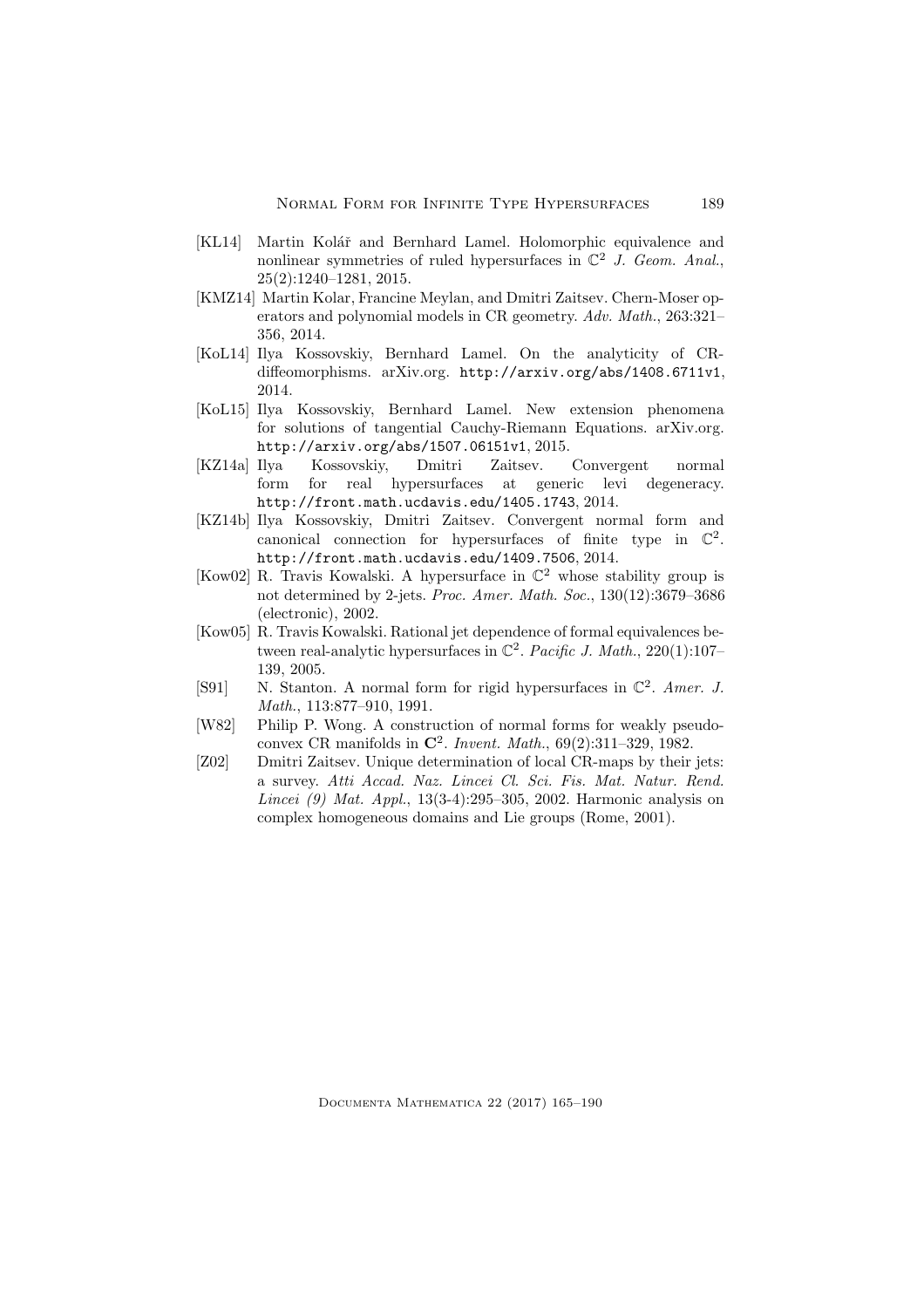- [KL14] Martin Kolář and Bernhard Lamel. Holomorphic equivalence and nonlinear symmetries of ruled hypersurfaces in  $\mathbb{C}^2$  J. Geom. Anal., 25(2):1240–1281, 2015.
- [KMZ14] Martin Kolar, Francine Meylan, and Dmitri Zaitsev. Chern-Moser operators and polynomial models in CR geometry. Adv. Math., 263:321– 356, 2014.
- [KoL14] Ilya Kossovskiy, Bernhard Lamel. On the analyticity of CRdiffeomorphisms. arXiv.org. http://arxiv.org/abs/1408.6711v1, 2014.
- [KoL15] Ilya Kossovskiy, Bernhard Lamel. New extension phenomena for solutions of tangential Cauchy-Riemann Equations. arXiv.org. http://arxiv.org/abs/1507.06151v1, 2015.
- [KZ14a] Ilya Kossovskiy, Dmitri Zaitsev. Convergent normal form for real hypersurfaces at generic levi degeneracy. http://front.math.ucdavis.edu/1405.1743, 2014.
- [KZ14b] Ilya Kossovskiy, Dmitri Zaitsev. Convergent normal form and canonical connection for hypersurfaces of finite type in  $\mathbb{C}^2$ . http://front.math.ucdavis.edu/1409.7506, 2014.
- [Kow02] R. Travis Kowalski. A hypersurface in C <sup>2</sup> whose stability group is not determined by 2-jets. Proc. Amer. Math. Soc., 130(12):3679–3686 (electronic), 2002.
- [Kow05] R. Travis Kowalski. Rational jet dependence of formal equivalences between real-analytic hypersurfaces in  $\mathbb{C}^2$ . *Pacific J. Math.*, 220(1):107– 139, 2005.
- [S91] N. Stanton. A normal form for rigid hypersurfaces in  $\mathbb{C}^2$ . Amer. J. Math., 113:877–910, 1991.
- [W82] Philip P. Wong. A construction of normal forms for weakly pseudoconvex CR manifolds in  $\mathbb{C}^2$ . Invent. Math., 69(2):311-329, 1982.
- [Z02] Dmitri Zaitsev. Unique determination of local CR-maps by their jets: a survey. Atti Accad. Naz. Lincei Cl. Sci. Fis. Mat. Natur. Rend. Lincei (9) Mat. Appl., 13(3-4):295–305, 2002. Harmonic analysis on complex homogeneous domains and Lie groups (Rome, 2001).